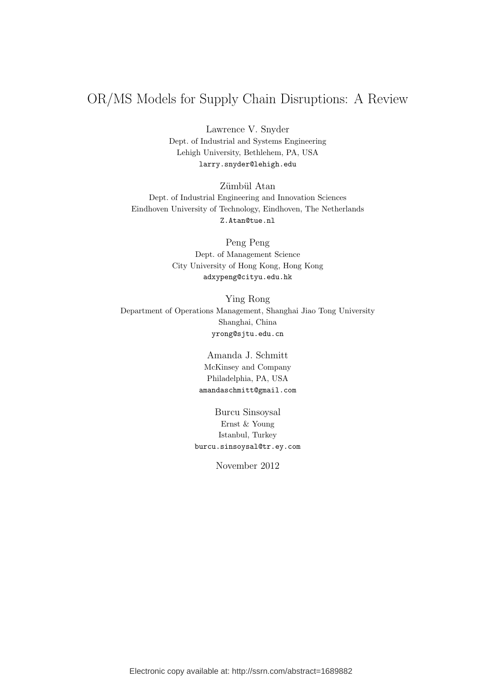# OR/MS Models for Supply Chain Disruptions: A Review

Lawrence V. Snyder Dept. of Industrial and Systems Engineering Lehigh University, Bethlehem, PA, USA larry.snyder@lehigh.edu

Zümbül Atan Dept. of Industrial Engineering and Innovation Sciences Eindhoven University of Technology, Eindhoven, The Netherlands Z.Atan@tue.nl

> Peng Peng Dept. of Management Science City University of Hong Kong, Hong Kong adxypeng@cityu.edu.hk

Ying Rong Department of Operations Management, Shanghai Jiao Tong University Shanghai, China yrong@sjtu.edu.cn

> Amanda J. Schmitt McKinsey and Company Philadelphia, PA, USA amandaschmitt@gmail.com

Burcu Sinsoysal Ernst & Young Istanbul, Turkey burcu.sinsoysal@tr.ey.com

November 2012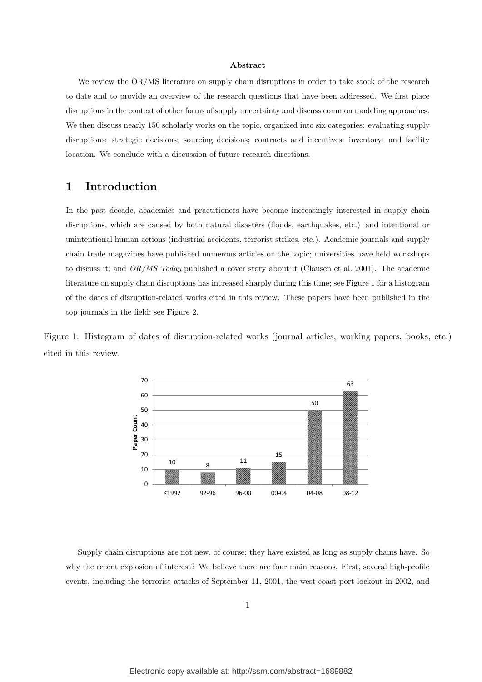#### **Abstract**

We review the OR/MS literature on supply chain disruptions in order to take stock of the research to date and to provide an overview of the research questions that have been addressed. We first place disruptions in the context of other forms of supply uncertainty and discuss common modeling approaches. We then discuss nearly 150 scholarly works on the topic, organized into six categories: evaluating supply disruptions; strategic decisions; sourcing decisions; contracts and incentives; inventory; and facility location. We conclude with a discussion of future research directions.

### **1 Introduction**

In the past decade, academics and practitioners have become increasingly interested in supply chain disruptions, which are caused by both natural disasters (floods, earthquakes, etc.) and intentional or unintentional human actions (industrial accidents, terrorist strikes, etc.). Academic journals and supply chain trade magazines have published numerous articles on the topic; universities have held workshops to discuss it; and *OR/MS Today* published a cover story about it (Clausen et al. 2001). The academic literature on supply chain disruptions has increased sharply during this time; see Figure 1 for a histogram of the dates of disruption-related works cited in this review. These papers have been published in the top journals in the field; see Figure 2.

Figure 1: Histogram of dates of disruption-related works (journal articles, working papers, books, etc.) cited in this review.



Supply chain disruptions are not new, of course; they have existed as long as supply chains have. So why the recent explosion of interest? We believe there are four main reasons. First, several high-profile events, including the terrorist attacks of September 11, 2001, the west-coast port lockout in 2002, and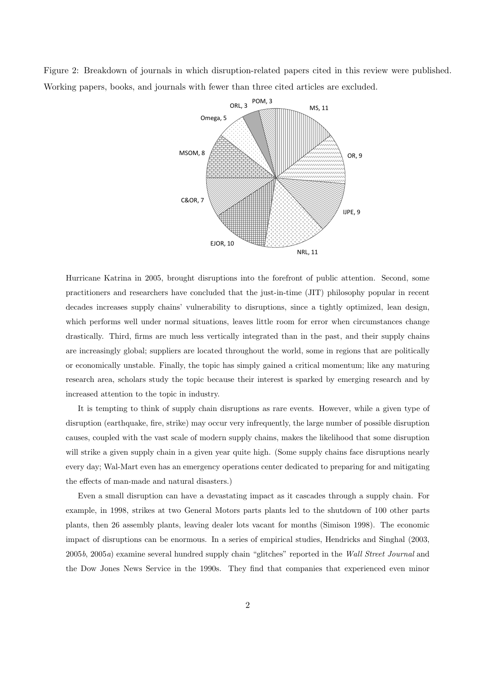Figure 2: Breakdown of journals in which disruption-related papers cited in this review were published. Working papers, books, and journals with fewer than three cited articles are excluded.



Hurricane Katrina in 2005, brought disruptions into the forefront of public attention. Second, some practitioners and researchers have concluded that the just-in-time (JIT) philosophy popular in recent decades increases supply chains' vulnerability to disruptions, since a tightly optimized, lean design, which performs well under normal situations, leaves little room for error when circumstances change drastically. Third, firms are much less vertically integrated than in the past, and their supply chains are increasingly global; suppliers are located throughout the world, some in regions that are politically or economically unstable. Finally, the topic has simply gained a critical momentum; like any maturing research area, scholars study the topic because their interest is sparked by emerging research and by increased attention to the topic in industry.

It is tempting to think of supply chain disruptions as rare events. However, while a given type of disruption (earthquake, fire, strike) may occur very infrequently, the large number of possible disruption causes, coupled with the vast scale of modern supply chains, makes the likelihood that some disruption will strike a given supply chain in a given year quite high. (Some supply chains face disruptions nearly every day; Wal-Mart even has an emergency operations center dedicated to preparing for and mitigating the effects of man-made and natural disasters.)

Even a small disruption can have a devastating impact as it cascades through a supply chain. For example, in 1998, strikes at two General Motors parts plants led to the shutdown of 100 other parts plants, then 26 assembly plants, leaving dealer lots vacant for months (Simison 1998). The economic impact of disruptions can be enormous. In a series of empirical studies, Hendricks and Singhal (2003, 2005*b*, 2005*a*) examine several hundred supply chain "glitches" reported in the *Wall Street Journal* and the Dow Jones News Service in the 1990s. They find that companies that experienced even minor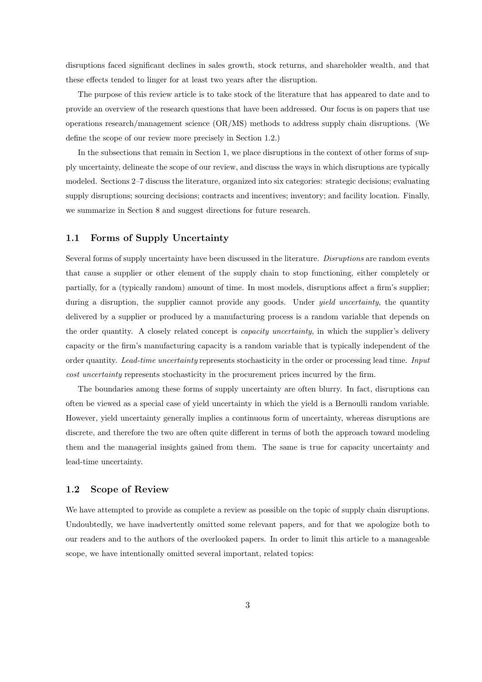disruptions faced significant declines in sales growth, stock returns, and shareholder wealth, and that these effects tended to linger for at least two years after the disruption.

The purpose of this review article is to take stock of the literature that has appeared to date and to provide an overview of the research questions that have been addressed. Our focus is on papers that use operations research/management science (OR/MS) methods to address supply chain disruptions. (We define the scope of our review more precisely in Section 1.2.)

In the subsections that remain in Section 1, we place disruptions in the context of other forms of supply uncertainty, delineate the scope of our review, and discuss the ways in which disruptions are typically modeled. Sections 2–7 discuss the literature, organized into six categories: strategic decisions; evaluating supply disruptions; sourcing decisions; contracts and incentives; inventory; and facility location. Finally, we summarize in Section 8 and suggest directions for future research.

#### **1.1 Forms of Supply Uncertainty**

Several forms of supply uncertainty have been discussed in the literature. *Disruptions* are random events that cause a supplier or other element of the supply chain to stop functioning, either completely or partially, for a (typically random) amount of time. In most models, disruptions affect a firm's supplier; during a disruption, the supplier cannot provide any goods. Under *yield uncertainty*, the quantity delivered by a supplier or produced by a manufacturing process is a random variable that depends on the order quantity. A closely related concept is *capacity uncertainty*, in which the supplier's delivery capacity or the firm's manufacturing capacity is a random variable that is typically independent of the order quantity. *Lead-time uncertainty* represents stochasticity in the order or processing lead time. *Input cost uncertainty* represents stochasticity in the procurement prices incurred by the firm.

The boundaries among these forms of supply uncertainty are often blurry. In fact, disruptions can often be viewed as a special case of yield uncertainty in which the yield is a Bernoulli random variable. However, yield uncertainty generally implies a continuous form of uncertainty, whereas disruptions are discrete, and therefore the two are often quite different in terms of both the approach toward modeling them and the managerial insights gained from them. The same is true for capacity uncertainty and lead-time uncertainty.

#### **1.2 Scope of Review**

We have attempted to provide as complete a review as possible on the topic of supply chain disruptions. Undoubtedly, we have inadvertently omitted some relevant papers, and for that we apologize both to our readers and to the authors of the overlooked papers. In order to limit this article to a manageable scope, we have intentionally omitted several important, related topics: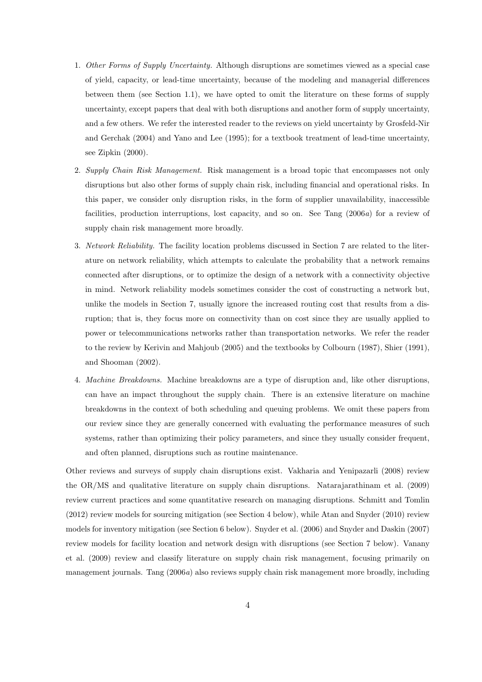- 1. *Other Forms of Supply Uncertainty.* Although disruptions are sometimes viewed as a special case of yield, capacity, or lead-time uncertainty, because of the modeling and managerial differences between them (see Section 1.1), we have opted to omit the literature on these forms of supply uncertainty, except papers that deal with both disruptions and another form of supply uncertainty, and a few others. We refer the interested reader to the reviews on yield uncertainty by Grosfeld-Nir and Gerchak (2004) and Yano and Lee (1995); for a textbook treatment of lead-time uncertainty, see Zipkin (2000).
- 2. *Supply Chain Risk Management.* Risk management is a broad topic that encompasses not only disruptions but also other forms of supply chain risk, including financial and operational risks. In this paper, we consider only disruption risks, in the form of supplier unavailability, inaccessible facilities, production interruptions, lost capacity, and so on. See Tang (2006*a*) for a review of supply chain risk management more broadly.
- 3. *Network Reliability.* The facility location problems discussed in Section 7 are related to the literature on network reliability, which attempts to calculate the probability that a network remains connected after disruptions, or to optimize the design of a network with a connectivity objective in mind. Network reliability models sometimes consider the cost of constructing a network but, unlike the models in Section 7, usually ignore the increased routing cost that results from a disruption; that is, they focus more on connectivity than on cost since they are usually applied to power or telecommunications networks rather than transportation networks. We refer the reader to the review by Kerivin and Mahjoub (2005) and the textbooks by Colbourn (1987), Shier (1991), and Shooman (2002).
- 4. *Machine Breakdowns.* Machine breakdowns are a type of disruption and, like other disruptions, can have an impact throughout the supply chain. There is an extensive literature on machine breakdowns in the context of both scheduling and queuing problems. We omit these papers from our review since they are generally concerned with evaluating the performance measures of such systems, rather than optimizing their policy parameters, and since they usually consider frequent, and often planned, disruptions such as routine maintenance.

Other reviews and surveys of supply chain disruptions exist. Vakharia and Yenipazarli (2008) review the OR/MS and qualitative literature on supply chain disruptions. Natarajarathinam et al. (2009) review current practices and some quantitative research on managing disruptions. Schmitt and Tomlin (2012) review models for sourcing mitigation (see Section 4 below), while Atan and Snyder (2010) review models for inventory mitigation (see Section 6 below). Snyder et al. (2006) and Snyder and Daskin (2007) review models for facility location and network design with disruptions (see Section 7 below). Vanany et al. (2009) review and classify literature on supply chain risk management, focusing primarily on management journals. Tang (2006*a*) also reviews supply chain risk management more broadly, including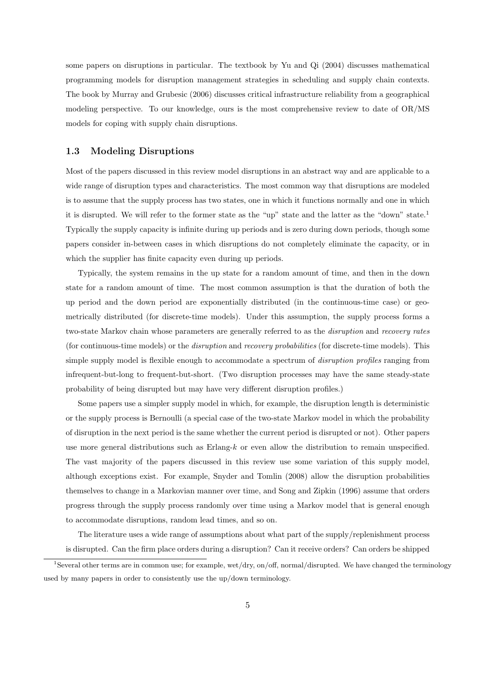some papers on disruptions in particular. The textbook by Yu and Qi (2004) discusses mathematical programming models for disruption management strategies in scheduling and supply chain contexts. The book by Murray and Grubesic (2006) discusses critical infrastructure reliability from a geographical modeling perspective. To our knowledge, ours is the most comprehensive review to date of OR/MS models for coping with supply chain disruptions.

### **1.3 Modeling Disruptions**

Most of the papers discussed in this review model disruptions in an abstract way and are applicable to a wide range of disruption types and characteristics. The most common way that disruptions are modeled is to assume that the supply process has two states, one in which it functions normally and one in which it is disrupted. We will refer to the former state as the "up" state and the latter as the "down" state.<sup>1</sup> Typically the supply capacity is infinite during up periods and is zero during down periods, though some papers consider in-between cases in which disruptions do not completely eliminate the capacity, or in which the supplier has finite capacity even during up periods.

Typically, the system remains in the up state for a random amount of time, and then in the down state for a random amount of time. The most common assumption is that the duration of both the up period and the down period are exponentially distributed (in the continuous-time case) or geometrically distributed (for discrete-time models). Under this assumption, the supply process forms a two-state Markov chain whose parameters are generally referred to as the *disruption* and *recovery rates* (for continuous-time models) or the *disruption* and *recovery probabilities* (for discrete-time models). This simple supply model is flexible enough to accommodate a spectrum of *disruption profiles* ranging from infrequent-but-long to frequent-but-short. (Two disruption processes may have the same steady-state probability of being disrupted but may have very different disruption profiles.)

Some papers use a simpler supply model in which, for example, the disruption length is deterministic or the supply process is Bernoulli (a special case of the two-state Markov model in which the probability of disruption in the next period is the same whether the current period is disrupted or not). Other papers use more general distributions such as Erlang-*k* or even allow the distribution to remain unspecified. The vast majority of the papers discussed in this review use some variation of this supply model, although exceptions exist. For example, Snyder and Tomlin (2008) allow the disruption probabilities themselves to change in a Markovian manner over time, and Song and Zipkin (1996) assume that orders progress through the supply process randomly over time using a Markov model that is general enough to accommodate disruptions, random lead times, and so on.

The literature uses a wide range of assumptions about what part of the supply/replenishment process is disrupted. Can the firm place orders during a disruption? Can it receive orders? Can orders be shipped

<sup>&</sup>lt;sup>1</sup>Several other terms are in common use; for example, wet/dry, on/off, normal/disrupted. We have changed the terminology used by many papers in order to consistently use the up/down terminology.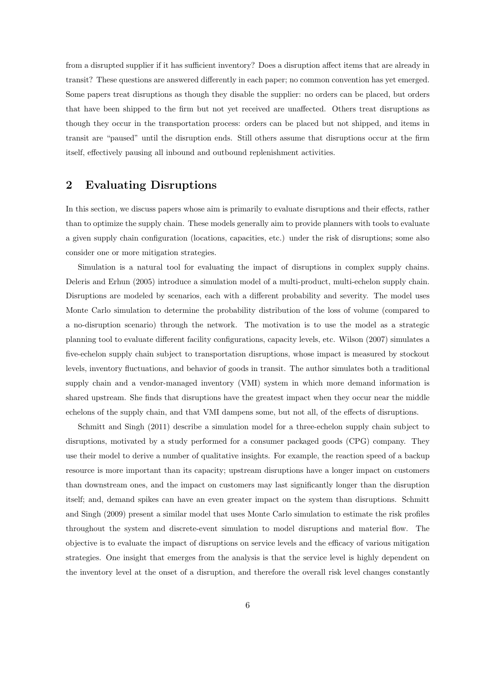from a disrupted supplier if it has sufficient inventory? Does a disruption affect items that are already in transit? These questions are answered differently in each paper; no common convention has yet emerged. Some papers treat disruptions as though they disable the supplier: no orders can be placed, but orders that have been shipped to the firm but not yet received are unaffected. Others treat disruptions as though they occur in the transportation process: orders can be placed but not shipped, and items in transit are "paused" until the disruption ends. Still others assume that disruptions occur at the firm itself, effectively pausing all inbound and outbound replenishment activities.

### **2 Evaluating Disruptions**

In this section, we discuss papers whose aim is primarily to evaluate disruptions and their effects, rather than to optimize the supply chain. These models generally aim to provide planners with tools to evaluate a given supply chain configuration (locations, capacities, etc.) under the risk of disruptions; some also consider one or more mitigation strategies.

Simulation is a natural tool for evaluating the impact of disruptions in complex supply chains. Deleris and Erhun (2005) introduce a simulation model of a multi-product, multi-echelon supply chain. Disruptions are modeled by scenarios, each with a different probability and severity. The model uses Monte Carlo simulation to determine the probability distribution of the loss of volume (compared to a no-disruption scenario) through the network. The motivation is to use the model as a strategic planning tool to evaluate different facility configurations, capacity levels, etc. Wilson (2007) simulates a five-echelon supply chain subject to transportation disruptions, whose impact is measured by stockout levels, inventory fluctuations, and behavior of goods in transit. The author simulates both a traditional supply chain and a vendor-managed inventory (VMI) system in which more demand information is shared upstream. She finds that disruptions have the greatest impact when they occur near the middle echelons of the supply chain, and that VMI dampens some, but not all, of the effects of disruptions.

Schmitt and Singh (2011) describe a simulation model for a three-echelon supply chain subject to disruptions, motivated by a study performed for a consumer packaged goods (CPG) company. They use their model to derive a number of qualitative insights. For example, the reaction speed of a backup resource is more important than its capacity; upstream disruptions have a longer impact on customers than downstream ones, and the impact on customers may last significantly longer than the disruption itself; and, demand spikes can have an even greater impact on the system than disruptions. Schmitt and Singh (2009) present a similar model that uses Monte Carlo simulation to estimate the risk profiles throughout the system and discrete-event simulation to model disruptions and material flow. The objective is to evaluate the impact of disruptions on service levels and the efficacy of various mitigation strategies. One insight that emerges from the analysis is that the service level is highly dependent on the inventory level at the onset of a disruption, and therefore the overall risk level changes constantly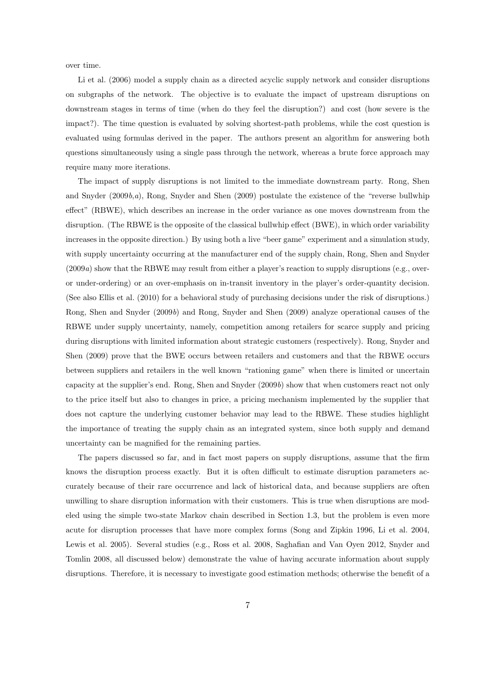over time.

Li et al. (2006) model a supply chain as a directed acyclic supply network and consider disruptions on subgraphs of the network. The objective is to evaluate the impact of upstream disruptions on downstream stages in terms of time (when do they feel the disruption?) and cost (how severe is the impact?). The time question is evaluated by solving shortest-path problems, while the cost question is evaluated using formulas derived in the paper. The authors present an algorithm for answering both questions simultaneously using a single pass through the network, whereas a brute force approach may require many more iterations.

The impact of supply disruptions is not limited to the immediate downstream party. Rong, Shen and Snyder (2009*b*,*a*), Rong, Snyder and Shen (2009) postulate the existence of the "reverse bullwhip effect" (RBWE), which describes an increase in the order variance as one moves downstream from the disruption. (The RBWE is the opposite of the classical bullwhip effect (BWE), in which order variability increases in the opposite direction.) By using both a live "beer game" experiment and a simulation study, with supply uncertainty occurring at the manufacturer end of the supply chain, Rong, Shen and Snyder (2009*a*) show that the RBWE may result from either a player's reaction to supply disruptions (e.g., overor under-ordering) or an over-emphasis on in-transit inventory in the player's order-quantity decision. (See also Ellis et al. (2010) for a behavioral study of purchasing decisions under the risk of disruptions.) Rong, Shen and Snyder (2009*b*) and Rong, Snyder and Shen (2009) analyze operational causes of the RBWE under supply uncertainty, namely, competition among retailers for scarce supply and pricing during disruptions with limited information about strategic customers (respectively). Rong, Snyder and Shen (2009) prove that the BWE occurs between retailers and customers and that the RBWE occurs between suppliers and retailers in the well known "rationing game" when there is limited or uncertain capacity at the supplier's end. Rong, Shen and Snyder (2009*b*) show that when customers react not only to the price itself but also to changes in price, a pricing mechanism implemented by the supplier that does not capture the underlying customer behavior may lead to the RBWE. These studies highlight the importance of treating the supply chain as an integrated system, since both supply and demand uncertainty can be magnified for the remaining parties.

The papers discussed so far, and in fact most papers on supply disruptions, assume that the firm knows the disruption process exactly. But it is often difficult to estimate disruption parameters accurately because of their rare occurrence and lack of historical data, and because suppliers are often unwilling to share disruption information with their customers. This is true when disruptions are modeled using the simple two-state Markov chain described in Section 1.3, but the problem is even more acute for disruption processes that have more complex forms (Song and Zipkin 1996, Li et al. 2004, Lewis et al. 2005). Several studies (e.g., Ross et al. 2008, Saghafian and Van Oyen 2012, Snyder and Tomlin 2008, all discussed below) demonstrate the value of having accurate information about supply disruptions. Therefore, it is necessary to investigate good estimation methods; otherwise the benefit of a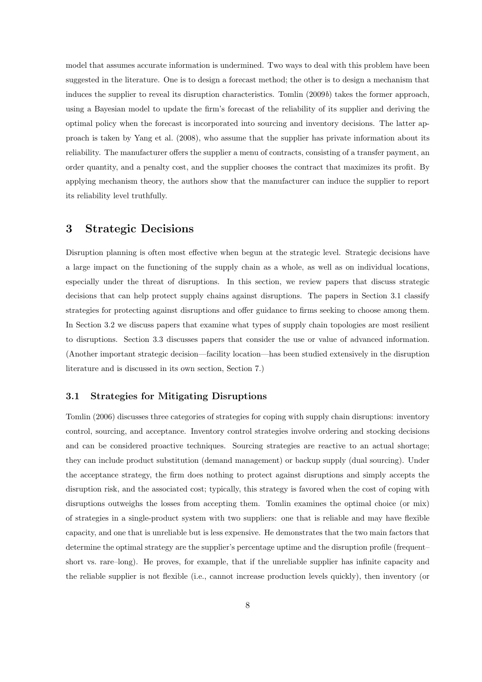model that assumes accurate information is undermined. Two ways to deal with this problem have been suggested in the literature. One is to design a forecast method; the other is to design a mechanism that induces the supplier to reveal its disruption characteristics. Tomlin (2009*b*) takes the former approach, using a Bayesian model to update the firm's forecast of the reliability of its supplier and deriving the optimal policy when the forecast is incorporated into sourcing and inventory decisions. The latter approach is taken by Yang et al. (2008), who assume that the supplier has private information about its reliability. The manufacturer offers the supplier a menu of contracts, consisting of a transfer payment, an order quantity, and a penalty cost, and the supplier chooses the contract that maximizes its profit. By applying mechanism theory, the authors show that the manufacturer can induce the supplier to report its reliability level truthfully.

### **3 Strategic Decisions**

Disruption planning is often most effective when begun at the strategic level. Strategic decisions have a large impact on the functioning of the supply chain as a whole, as well as on individual locations, especially under the threat of disruptions. In this section, we review papers that discuss strategic decisions that can help protect supply chains against disruptions. The papers in Section 3.1 classify strategies for protecting against disruptions and offer guidance to firms seeking to choose among them. In Section 3.2 we discuss papers that examine what types of supply chain topologies are most resilient to disruptions. Section 3.3 discusses papers that consider the use or value of advanced information. (Another important strategic decision—facility location—has been studied extensively in the disruption literature and is discussed in its own section, Section 7.)

### **3.1 Strategies for Mitigating Disruptions**

Tomlin (2006) discusses three categories of strategies for coping with supply chain disruptions: inventory control, sourcing, and acceptance. Inventory control strategies involve ordering and stocking decisions and can be considered proactive techniques. Sourcing strategies are reactive to an actual shortage; they can include product substitution (demand management) or backup supply (dual sourcing). Under the acceptance strategy, the firm does nothing to protect against disruptions and simply accepts the disruption risk, and the associated cost; typically, this strategy is favored when the cost of coping with disruptions outweighs the losses from accepting them. Tomlin examines the optimal choice (or mix) of strategies in a single-product system with two suppliers: one that is reliable and may have flexible capacity, and one that is unreliable but is less expensive. He demonstrates that the two main factors that determine the optimal strategy are the supplier's percentage uptime and the disruption profile (frequent– short vs. rare–long). He proves, for example, that if the unreliable supplier has infinite capacity and the reliable supplier is not flexible (i.e., cannot increase production levels quickly), then inventory (or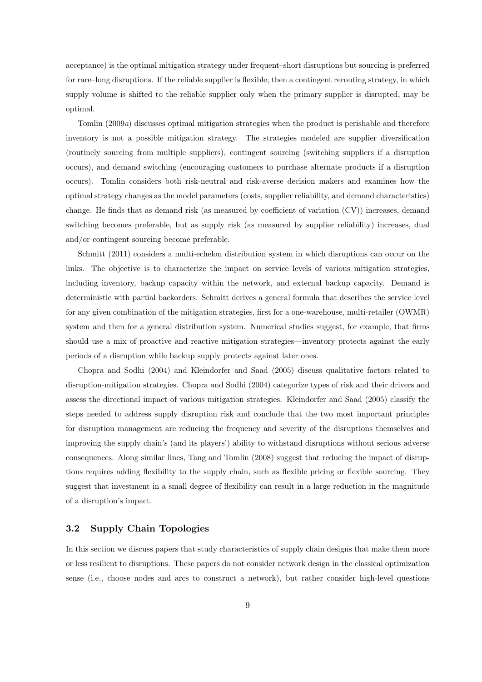acceptance) is the optimal mitigation strategy under frequent–short disruptions but sourcing is preferred for rare–long disruptions. If the reliable supplier is flexible, then a contingent rerouting strategy, in which supply volume is shifted to the reliable supplier only when the primary supplier is disrupted, may be optimal.

Tomlin (2009*a*) discusses optimal mitigation strategies when the product is perishable and therefore inventory is not a possible mitigation strategy. The strategies modeled are supplier diversification (routinely sourcing from multiple suppliers), contingent sourcing (switching suppliers if a disruption occurs), and demand switching (encouraging customers to purchase alternate products if a disruption occurs). Tomlin considers both risk-neutral and risk-averse decision makers and examines how the optimal strategy changes as the model parameters (costs, supplier reliability, and demand characteristics) change. He finds that as demand risk (as measured by coefficient of variation (CV)) increases, demand switching becomes preferable, but as supply risk (as measured by supplier reliability) increases, dual and/or contingent sourcing become preferable.

Schmitt (2011) considers a multi-echelon distribution system in which disruptions can occur on the links. The objective is to characterize the impact on service levels of various mitigation strategies, including inventory, backup capacity within the network, and external backup capacity. Demand is deterministic with partial backorders. Schmitt derives a general formula that describes the service level for any given combination of the mitigation strategies, first for a one-warehouse, multi-retailer (OWMR) system and then for a general distribution system. Numerical studies suggest, for example, that firms should use a mix of proactive and reactive mitigation strategies—inventory protects against the early periods of a disruption while backup supply protects against later ones.

Chopra and Sodhi (2004) and Kleindorfer and Saad (2005) discuss qualitative factors related to disruption-mitigation strategies. Chopra and Sodhi (2004) categorize types of risk and their drivers and assess the directional impact of various mitigation strategies. Kleindorfer and Saad (2005) classify the steps needed to address supply disruption risk and conclude that the two most important principles for disruption management are reducing the frequency and severity of the disruptions themselves and improving the supply chain's (and its players') ability to withstand disruptions without serious adverse consequences. Along similar lines, Tang and Tomlin (2008) suggest that reducing the impact of disruptions requires adding flexibility to the supply chain, such as flexible pricing or flexible sourcing. They suggest that investment in a small degree of flexibility can result in a large reduction in the magnitude of a disruption's impact.

### **3.2 Supply Chain Topologies**

In this section we discuss papers that study characteristics of supply chain designs that make them more or less resilient to disruptions. These papers do not consider network design in the classical optimization sense (i.e., choose nodes and arcs to construct a network), but rather consider high-level questions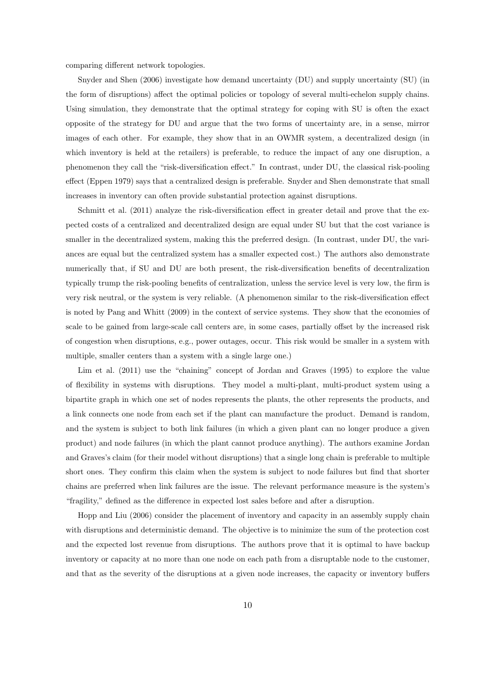comparing different network topologies.

Snyder and Shen (2006) investigate how demand uncertainty (DU) and supply uncertainty (SU) (in the form of disruptions) affect the optimal policies or topology of several multi-echelon supply chains. Using simulation, they demonstrate that the optimal strategy for coping with SU is often the exact opposite of the strategy for DU and argue that the two forms of uncertainty are, in a sense, mirror images of each other. For example, they show that in an OWMR system, a decentralized design (in which inventory is held at the retailers) is preferable, to reduce the impact of any one disruption, a phenomenon they call the "risk-diversification effect." In contrast, under DU, the classical risk-pooling effect (Eppen 1979) says that a centralized design is preferable. Snyder and Shen demonstrate that small increases in inventory can often provide substantial protection against disruptions.

Schmitt et al. (2011) analyze the risk-diversification effect in greater detail and prove that the expected costs of a centralized and decentralized design are equal under SU but that the cost variance is smaller in the decentralized system, making this the preferred design. (In contrast, under DU, the variances are equal but the centralized system has a smaller expected cost.) The authors also demonstrate numerically that, if SU and DU are both present, the risk-diversification benefits of decentralization typically trump the risk-pooling benefits of centralization, unless the service level is very low, the firm is very risk neutral, or the system is very reliable. (A phenomenon similar to the risk-diversification effect is noted by Pang and Whitt (2009) in the context of service systems. They show that the economies of scale to be gained from large-scale call centers are, in some cases, partially offset by the increased risk of congestion when disruptions, e.g., power outages, occur. This risk would be smaller in a system with multiple, smaller centers than a system with a single large one.)

Lim et al. (2011) use the "chaining" concept of Jordan and Graves (1995) to explore the value of flexibility in systems with disruptions. They model a multi-plant, multi-product system using a bipartite graph in which one set of nodes represents the plants, the other represents the products, and a link connects one node from each set if the plant can manufacture the product. Demand is random, and the system is subject to both link failures (in which a given plant can no longer produce a given product) and node failures (in which the plant cannot produce anything). The authors examine Jordan and Graves's claim (for their model without disruptions) that a single long chain is preferable to multiple short ones. They confirm this claim when the system is subject to node failures but find that shorter chains are preferred when link failures are the issue. The relevant performance measure is the system's "fragility," defined as the difference in expected lost sales before and after a disruption.

Hopp and Liu (2006) consider the placement of inventory and capacity in an assembly supply chain with disruptions and deterministic demand. The objective is to minimize the sum of the protection cost and the expected lost revenue from disruptions. The authors prove that it is optimal to have backup inventory or capacity at no more than one node on each path from a disruptable node to the customer, and that as the severity of the disruptions at a given node increases, the capacity or inventory buffers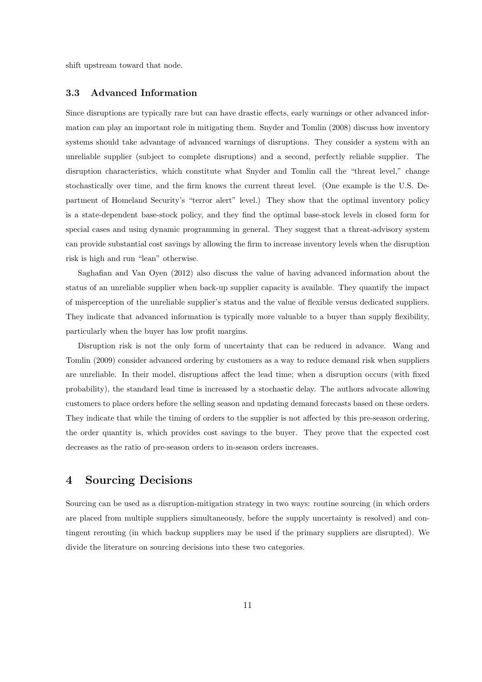shift upstream toward that node.

### **3.3 Advanced Information**

Since disruptions are typically rare but can have drastic effects, early warnings or other advanced information can play an important role in mitigating them. Snyder and Tomlin (2008) discuss how inventory systems should take advantage of advanced warnings of disruptions. They consider a system with an unreliable supplier (subject to complete disruptions) and a second, perfectly reliable supplier. The disruption characteristics, which constitute what Snyder and Tomlin call the "threat level," change stochastically over time, and the firm knows the current threat level. (One example is the U.S. Department of Homeland Security's "terror alert" level.) They show that the optimal inventory policy is a state-dependent base-stock policy, and they find the optimal base-stock levels in closed form for special cases and using dynamic programming in general. They suggest that a threat-advisory system can provide substantial cost savings by allowing the firm to increase inventory levels when the disruption risk is high and run "lean" otherwise.

Saghafian and Van Oyen (2012) also discuss the value of having advanced information about the status of an unreliable supplier when back-up supplier capacity is available. They quantify the impact of misperception of the unreliable supplier's status and the value of flexible versus dedicated suppliers. They indicate that advanced information is typically more valuable to a buyer than supply flexibility, particularly when the buyer has low profit margins.

Disruption risk is not the only form of uncertainty that can be reduced in advance. Wang and Tomlin (2009) consider advanced ordering by customers as a way to reduce demand risk when suppliers are unreliable. In their model, disruptions affect the lead time; when a disruption occurs (with fixed probability), the standard lead time is increased by a stochastic delay. The authors advocate allowing customers to place orders before the selling season and updating demand forecasts based on these orders. They indicate that while the timing of orders to the supplier is not affected by this pre-season ordering, the order quantity is, which provides cost savings to the buyer. They prove that the expected cost decreases as the ratio of pre-season orders to in-season orders increases.

### **4 Sourcing Decisions**

Sourcing can be used as a disruption-mitigation strategy in two ways: routine sourcing (in which orders are placed from multiple suppliers simultaneously, before the supply uncertainty is resolved) and contingent rerouting (in which backup suppliers may be used if the primary suppliers are disrupted). We divide the literature on sourcing decisions into these two categories.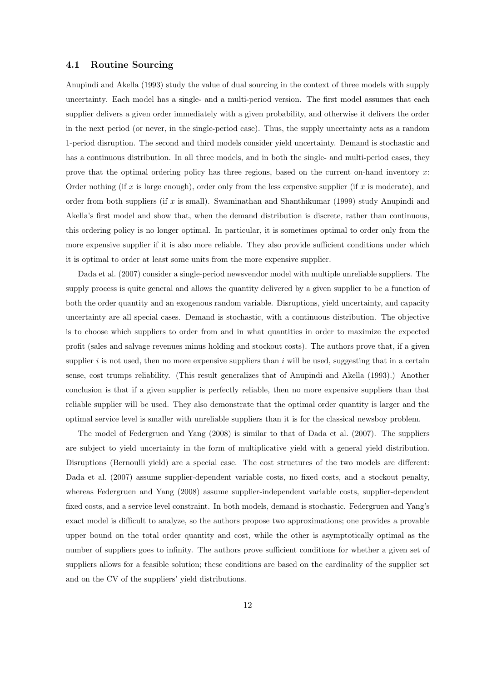#### **4.1 Routine Sourcing**

Anupindi and Akella (1993) study the value of dual sourcing in the context of three models with supply uncertainty. Each model has a single- and a multi-period version. The first model assumes that each supplier delivers a given order immediately with a given probability, and otherwise it delivers the order in the next period (or never, in the single-period case). Thus, the supply uncertainty acts as a random 1-period disruption. The second and third models consider yield uncertainty. Demand is stochastic and has a continuous distribution. In all three models, and in both the single- and multi-period cases, they prove that the optimal ordering policy has three regions, based on the current on-hand inventory *x*: Order nothing (if  $x$  is large enough), order only from the less expensive supplier (if  $x$  is moderate), and order from both suppliers (if *x* is small). Swaminathan and Shanthikumar (1999) study Anupindi and Akella's first model and show that, when the demand distribution is discrete, rather than continuous, this ordering policy is no longer optimal. In particular, it is sometimes optimal to order only from the more expensive supplier if it is also more reliable. They also provide sufficient conditions under which it is optimal to order at least some units from the more expensive supplier.

Dada et al. (2007) consider a single-period newsvendor model with multiple unreliable suppliers. The supply process is quite general and allows the quantity delivered by a given supplier to be a function of both the order quantity and an exogenous random variable. Disruptions, yield uncertainty, and capacity uncertainty are all special cases. Demand is stochastic, with a continuous distribution. The objective is to choose which suppliers to order from and in what quantities in order to maximize the expected profit (sales and salvage revenues minus holding and stockout costs). The authors prove that, if a given supplier  $i$  is not used, then no more expensive suppliers than  $i$  will be used, suggesting that in a certain sense, cost trumps reliability. (This result generalizes that of Anupindi and Akella (1993).) Another conclusion is that if a given supplier is perfectly reliable, then no more expensive suppliers than that reliable supplier will be used. They also demonstrate that the optimal order quantity is larger and the optimal service level is smaller with unreliable suppliers than it is for the classical newsboy problem.

The model of Federgruen and Yang (2008) is similar to that of Dada et al. (2007). The suppliers are subject to yield uncertainty in the form of multiplicative yield with a general yield distribution. Disruptions (Bernoulli yield) are a special case. The cost structures of the two models are different: Dada et al. (2007) assume supplier-dependent variable costs, no fixed costs, and a stockout penalty, whereas Federgruen and Yang (2008) assume supplier-independent variable costs, supplier-dependent fixed costs, and a service level constraint. In both models, demand is stochastic. Federgruen and Yang's exact model is difficult to analyze, so the authors propose two approximations; one provides a provable upper bound on the total order quantity and cost, while the other is asymptotically optimal as the number of suppliers goes to infinity. The authors prove sufficient conditions for whether a given set of suppliers allows for a feasible solution; these conditions are based on the cardinality of the supplier set and on the CV of the suppliers' yield distributions.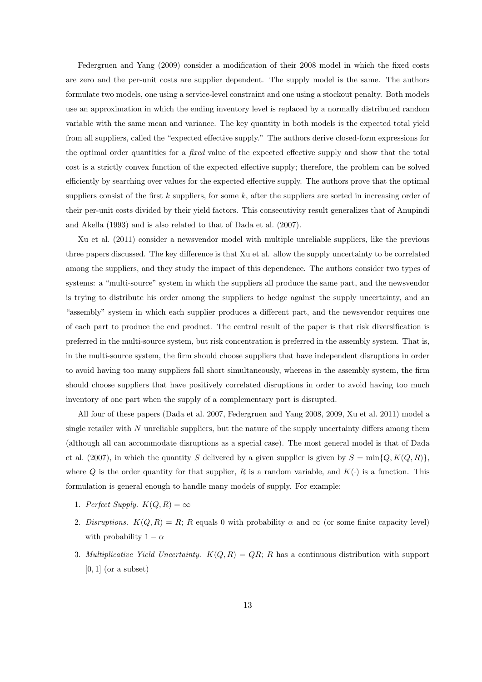Federgruen and Yang (2009) consider a modification of their 2008 model in which the fixed costs are zero and the per-unit costs are supplier dependent. The supply model is the same. The authors formulate two models, one using a service-level constraint and one using a stockout penalty. Both models use an approximation in which the ending inventory level is replaced by a normally distributed random variable with the same mean and variance. The key quantity in both models is the expected total yield from all suppliers, called the "expected effective supply." The authors derive closed-form expressions for the optimal order quantities for a *fixed* value of the expected effective supply and show that the total cost is a strictly convex function of the expected effective supply; therefore, the problem can be solved efficiently by searching over values for the expected effective supply. The authors prove that the optimal suppliers consist of the first *k* suppliers, for some *k*, after the suppliers are sorted in increasing order of their per-unit costs divided by their yield factors. This consecutivity result generalizes that of Anupindi and Akella (1993) and is also related to that of Dada et al. (2007).

Xu et al. (2011) consider a newsvendor model with multiple unreliable suppliers, like the previous three papers discussed. The key difference is that Xu et al. allow the supply uncertainty to be correlated among the suppliers, and they study the impact of this dependence. The authors consider two types of systems: a "multi-source" system in which the suppliers all produce the same part, and the newsvendor is trying to distribute his order among the suppliers to hedge against the supply uncertainty, and an "assembly" system in which each supplier produces a different part, and the newsvendor requires one of each part to produce the end product. The central result of the paper is that risk diversification is preferred in the multi-source system, but risk concentration is preferred in the assembly system. That is, in the multi-source system, the firm should choose suppliers that have independent disruptions in order to avoid having too many suppliers fall short simultaneously, whereas in the assembly system, the firm should choose suppliers that have positively correlated disruptions in order to avoid having too much inventory of one part when the supply of a complementary part is disrupted.

All four of these papers (Dada et al. 2007, Federgruen and Yang 2008, 2009, Xu et al. 2011) model a single retailer with *N* unreliable suppliers, but the nature of the supply uncertainty differs among them (although all can accommodate disruptions as a special case). The most general model is that of Dada et al. (2007), in which the quantity *S* delivered by a given supplier is given by  $S = \min\{Q, K(Q, R)\}\$ where  $Q$  is the order quantity for that supplier,  $R$  is a random variable, and  $K(\cdot)$  is a function. This formulation is general enough to handle many models of supply. For example:

- 1. *Perfect Supply.*  $K(Q, R) = \infty$
- 2. *Disruptions.*  $K(Q, R) = R$ ; *R* equals 0 with probability  $\alpha$  and  $\infty$  (or some finite capacity level) with probability  $1 - \alpha$
- 3. *Multiplicative Yield Uncertainty.*  $K(Q, R) = QR$ ; *R* has a continuous distribution with support [0*,* 1] (or a subset)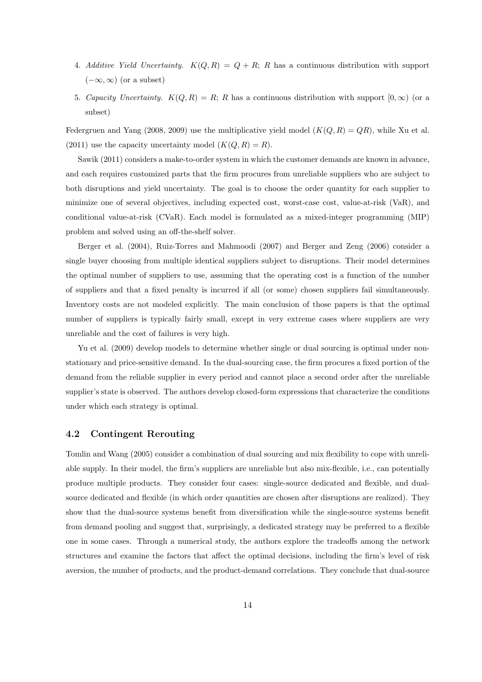- 4. Additive Yield Uncertainty.  $K(Q, R) = Q + R$ ; R has a continuous distribution with support (*−∞, ∞*) (or a subset)
- 5. *Capacity Uncertainty.*  $K(Q, R) = R$ ; *R* has a continuous distribution with support  $[0, \infty)$  (or a subset)

Federgruen and Yang (2008, 2009) use the multiplicative yield model  $(K(Q, R) = QR)$ , while Xu et al. (2011) use the capacity uncertainty model  $(K(Q, R) = R)$ .

Sawik (2011) considers a make-to-order system in which the customer demands are known in advance, and each requires customized parts that the firm procures from unreliable suppliers who are subject to both disruptions and yield uncertainty. The goal is to choose the order quantity for each supplier to minimize one of several objectives, including expected cost, worst-case cost, value-at-risk (VaR), and conditional value-at-risk (CVaR). Each model is formulated as a mixed-integer programming (MIP) problem and solved using an off-the-shelf solver.

Berger et al. (2004), Ruiz-Torres and Mahmoodi (2007) and Berger and Zeng (2006) consider a single buyer choosing from multiple identical suppliers subject to disruptions. Their model determines the optimal number of suppliers to use, assuming that the operating cost is a function of the number of suppliers and that a fixed penalty is incurred if all (or some) chosen suppliers fail simultaneously. Inventory costs are not modeled explicitly. The main conclusion of those papers is that the optimal number of suppliers is typically fairly small, except in very extreme cases where suppliers are very unreliable and the cost of failures is very high.

Yu et al. (2009) develop models to determine whether single or dual sourcing is optimal under nonstationary and price-sensitive demand. In the dual-sourcing case, the firm procures a fixed portion of the demand from the reliable supplier in every period and cannot place a second order after the unreliable supplier's state is observed. The authors develop closed-form expressions that characterize the conditions under which each strategy is optimal.

### **4.2 Contingent Rerouting**

Tomlin and Wang (2005) consider a combination of dual sourcing and mix flexibility to cope with unreliable supply. In their model, the firm's suppliers are unreliable but also mix-flexible, i.e., can potentially produce multiple products. They consider four cases: single-source dedicated and flexible, and dualsource dedicated and flexible (in which order quantities are chosen after disruptions are realized). They show that the dual-source systems benefit from diversification while the single-source systems benefit from demand pooling and suggest that, surprisingly, a dedicated strategy may be preferred to a flexible one in some cases. Through a numerical study, the authors explore the tradeoffs among the network structures and examine the factors that affect the optimal decisions, including the firm's level of risk aversion, the number of products, and the product-demand correlations. They conclude that dual-source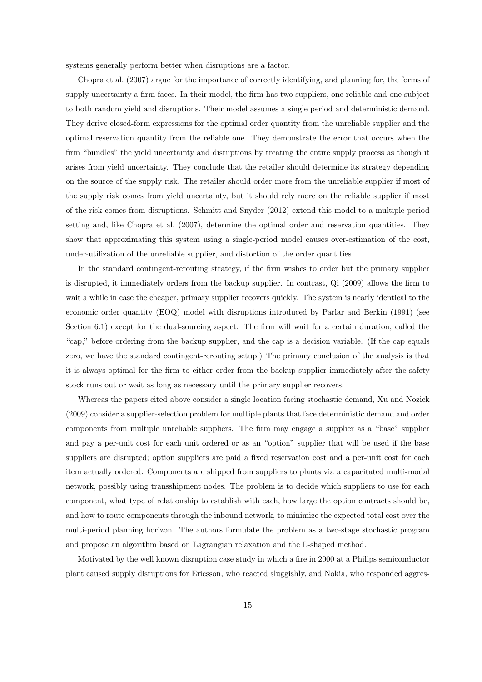systems generally perform better when disruptions are a factor.

Chopra et al. (2007) argue for the importance of correctly identifying, and planning for, the forms of supply uncertainty a firm faces. In their model, the firm has two suppliers, one reliable and one subject to both random yield and disruptions. Their model assumes a single period and deterministic demand. They derive closed-form expressions for the optimal order quantity from the unreliable supplier and the optimal reservation quantity from the reliable one. They demonstrate the error that occurs when the firm "bundles" the yield uncertainty and disruptions by treating the entire supply process as though it arises from yield uncertainty. They conclude that the retailer should determine its strategy depending on the source of the supply risk. The retailer should order more from the unreliable supplier if most of the supply risk comes from yield uncertainty, but it should rely more on the reliable supplier if most of the risk comes from disruptions. Schmitt and Snyder (2012) extend this model to a multiple-period setting and, like Chopra et al. (2007), determine the optimal order and reservation quantities. They show that approximating this system using a single-period model causes over-estimation of the cost, under-utilization of the unreliable supplier, and distortion of the order quantities.

In the standard contingent-rerouting strategy, if the firm wishes to order but the primary supplier is disrupted, it immediately orders from the backup supplier. In contrast, Qi (2009) allows the firm to wait a while in case the cheaper, primary supplier recovers quickly. The system is nearly identical to the economic order quantity (EOQ) model with disruptions introduced by Parlar and Berkin (1991) (see Section 6.1) except for the dual-sourcing aspect. The firm will wait for a certain duration, called the "cap," before ordering from the backup supplier, and the cap is a decision variable. (If the cap equals zero, we have the standard contingent-rerouting setup.) The primary conclusion of the analysis is that it is always optimal for the firm to either order from the backup supplier immediately after the safety stock runs out or wait as long as necessary until the primary supplier recovers.

Whereas the papers cited above consider a single location facing stochastic demand, Xu and Nozick (2009) consider a supplier-selection problem for multiple plants that face deterministic demand and order components from multiple unreliable suppliers. The firm may engage a supplier as a "base" supplier and pay a per-unit cost for each unit ordered or as an "option" supplier that will be used if the base suppliers are disrupted; option suppliers are paid a fixed reservation cost and a per-unit cost for each item actually ordered. Components are shipped from suppliers to plants via a capacitated multi-modal network, possibly using transshipment nodes. The problem is to decide which suppliers to use for each component, what type of relationship to establish with each, how large the option contracts should be, and how to route components through the inbound network, to minimize the expected total cost over the multi-period planning horizon. The authors formulate the problem as a two-stage stochastic program and propose an algorithm based on Lagrangian relaxation and the L-shaped method.

Motivated by the well known disruption case study in which a fire in 2000 at a Philips semiconductor plant caused supply disruptions for Ericsson, who reacted sluggishly, and Nokia, who responded aggres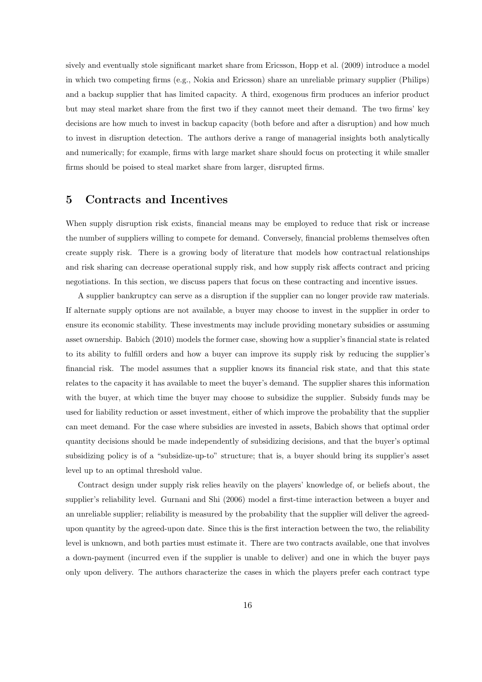sively and eventually stole significant market share from Ericsson, Hopp et al. (2009) introduce a model in which two competing firms (e.g., Nokia and Ericsson) share an unreliable primary supplier (Philips) and a backup supplier that has limited capacity. A third, exogenous firm produces an inferior product but may steal market share from the first two if they cannot meet their demand. The two firms' key decisions are how much to invest in backup capacity (both before and after a disruption) and how much to invest in disruption detection. The authors derive a range of managerial insights both analytically and numerically; for example, firms with large market share should focus on protecting it while smaller firms should be poised to steal market share from larger, disrupted firms.

### **5 Contracts and Incentives**

When supply disruption risk exists, financial means may be employed to reduce that risk or increase the number of suppliers willing to compete for demand. Conversely, financial problems themselves often create supply risk. There is a growing body of literature that models how contractual relationships and risk sharing can decrease operational supply risk, and how supply risk affects contract and pricing negotiations. In this section, we discuss papers that focus on these contracting and incentive issues.

A supplier bankruptcy can serve as a disruption if the supplier can no longer provide raw materials. If alternate supply options are not available, a buyer may choose to invest in the supplier in order to ensure its economic stability. These investments may include providing monetary subsidies or assuming asset ownership. Babich (2010) models the former case, showing how a supplier's financial state is related to its ability to fulfill orders and how a buyer can improve its supply risk by reducing the supplier's financial risk. The model assumes that a supplier knows its financial risk state, and that this state relates to the capacity it has available to meet the buyer's demand. The supplier shares this information with the buyer, at which time the buyer may choose to subsidize the supplier. Subsidy funds may be used for liability reduction or asset investment, either of which improve the probability that the supplier can meet demand. For the case where subsidies are invested in assets, Babich shows that optimal order quantity decisions should be made independently of subsidizing decisions, and that the buyer's optimal subsidizing policy is of a "subsidize-up-to" structure; that is, a buyer should bring its supplier's asset level up to an optimal threshold value.

Contract design under supply risk relies heavily on the players' knowledge of, or beliefs about, the supplier's reliability level. Gurnani and Shi (2006) model a first-time interaction between a buyer and an unreliable supplier; reliability is measured by the probability that the supplier will deliver the agreedupon quantity by the agreed-upon date. Since this is the first interaction between the two, the reliability level is unknown, and both parties must estimate it. There are two contracts available, one that involves a down-payment (incurred even if the supplier is unable to deliver) and one in which the buyer pays only upon delivery. The authors characterize the cases in which the players prefer each contract type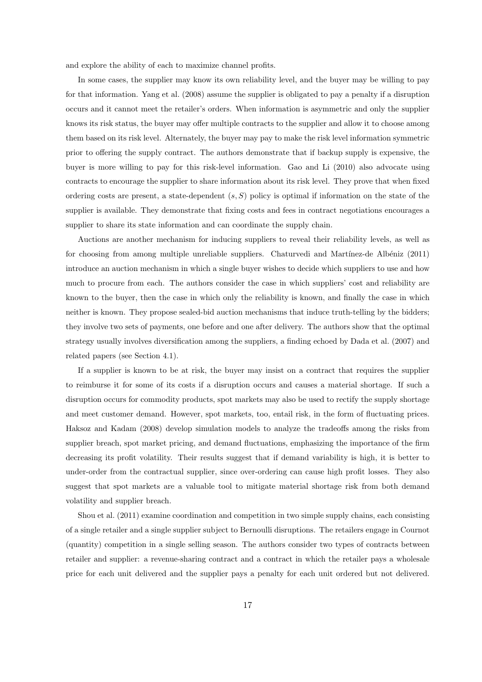and explore the ability of each to maximize channel profits.

In some cases, the supplier may know its own reliability level, and the buyer may be willing to pay for that information. Yang et al. (2008) assume the supplier is obligated to pay a penalty if a disruption occurs and it cannot meet the retailer's orders. When information is asymmetric and only the supplier knows its risk status, the buyer may offer multiple contracts to the supplier and allow it to choose among them based on its risk level. Alternately, the buyer may pay to make the risk level information symmetric prior to offering the supply contract. The authors demonstrate that if backup supply is expensive, the buyer is more willing to pay for this risk-level information. Gao and Li (2010) also advocate using contracts to encourage the supplier to share information about its risk level. They prove that when fixed ordering costs are present, a state-dependent (*s, S*) policy is optimal if information on the state of the supplier is available. They demonstrate that fixing costs and fees in contract negotiations encourages a supplier to share its state information and can coordinate the supply chain.

Auctions are another mechanism for inducing suppliers to reveal their reliability levels, as well as for choosing from among multiple unreliable suppliers. Chaturvedi and Martínez-de Albéniz (2011) introduce an auction mechanism in which a single buyer wishes to decide which suppliers to use and how much to procure from each. The authors consider the case in which suppliers' cost and reliability are known to the buyer, then the case in which only the reliability is known, and finally the case in which neither is known. They propose sealed-bid auction mechanisms that induce truth-telling by the bidders; they involve two sets of payments, one before and one after delivery. The authors show that the optimal strategy usually involves diversification among the suppliers, a finding echoed by Dada et al. (2007) and related papers (see Section 4.1).

If a supplier is known to be at risk, the buyer may insist on a contract that requires the supplier to reimburse it for some of its costs if a disruption occurs and causes a material shortage. If such a disruption occurs for commodity products, spot markets may also be used to rectify the supply shortage and meet customer demand. However, spot markets, too, entail risk, in the form of fluctuating prices. Haksoz and Kadam (2008) develop simulation models to analyze the tradeoffs among the risks from supplier breach, spot market pricing, and demand fluctuations, emphasizing the importance of the firm decreasing its profit volatility. Their results suggest that if demand variability is high, it is better to under-order from the contractual supplier, since over-ordering can cause high profit losses. They also suggest that spot markets are a valuable tool to mitigate material shortage risk from both demand volatility and supplier breach.

Shou et al. (2011) examine coordination and competition in two simple supply chains, each consisting of a single retailer and a single supplier subject to Bernoulli disruptions. The retailers engage in Cournot (quantity) competition in a single selling season. The authors consider two types of contracts between retailer and supplier: a revenue-sharing contract and a contract in which the retailer pays a wholesale price for each unit delivered and the supplier pays a penalty for each unit ordered but not delivered.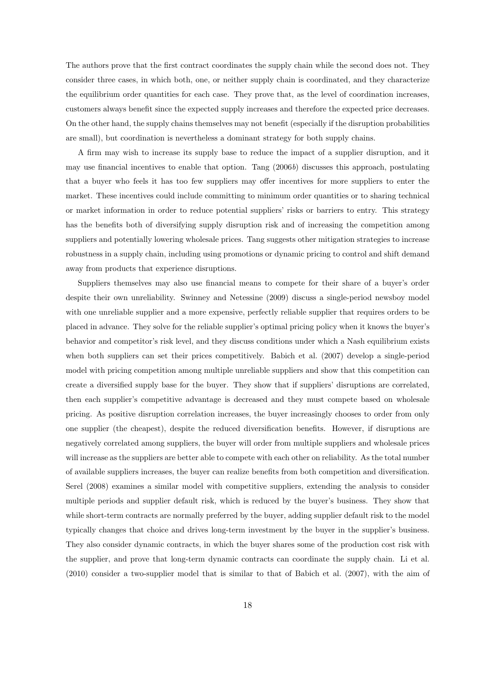The authors prove that the first contract coordinates the supply chain while the second does not. They consider three cases, in which both, one, or neither supply chain is coordinated, and they characterize the equilibrium order quantities for each case. They prove that, as the level of coordination increases, customers always benefit since the expected supply increases and therefore the expected price decreases. On the other hand, the supply chains themselves may not benefit (especially if the disruption probabilities are small), but coordination is nevertheless a dominant strategy for both supply chains.

A firm may wish to increase its supply base to reduce the impact of a supplier disruption, and it may use financial incentives to enable that option. Tang (2006*b*) discusses this approach, postulating that a buyer who feels it has too few suppliers may offer incentives for more suppliers to enter the market. These incentives could include committing to minimum order quantities or to sharing technical or market information in order to reduce potential suppliers' risks or barriers to entry. This strategy has the benefits both of diversifying supply disruption risk and of increasing the competition among suppliers and potentially lowering wholesale prices. Tang suggests other mitigation strategies to increase robustness in a supply chain, including using promotions or dynamic pricing to control and shift demand away from products that experience disruptions.

Suppliers themselves may also use financial means to compete for their share of a buyer's order despite their own unreliability. Swinney and Netessine (2009) discuss a single-period newsboy model with one unreliable supplier and a more expensive, perfectly reliable supplier that requires orders to be placed in advance. They solve for the reliable supplier's optimal pricing policy when it knows the buyer's behavior and competitor's risk level, and they discuss conditions under which a Nash equilibrium exists when both suppliers can set their prices competitively. Babich et al. (2007) develop a single-period model with pricing competition among multiple unreliable suppliers and show that this competition can create a diversified supply base for the buyer. They show that if suppliers' disruptions are correlated, then each supplier's competitive advantage is decreased and they must compete based on wholesale pricing. As positive disruption correlation increases, the buyer increasingly chooses to order from only one supplier (the cheapest), despite the reduced diversification benefits. However, if disruptions are negatively correlated among suppliers, the buyer will order from multiple suppliers and wholesale prices will increase as the suppliers are better able to compete with each other on reliability. As the total number of available suppliers increases, the buyer can realize benefits from both competition and diversification. Serel (2008) examines a similar model with competitive suppliers, extending the analysis to consider multiple periods and supplier default risk, which is reduced by the buyer's business. They show that while short-term contracts are normally preferred by the buyer, adding supplier default risk to the model typically changes that choice and drives long-term investment by the buyer in the supplier's business. They also consider dynamic contracts, in which the buyer shares some of the production cost risk with the supplier, and prove that long-term dynamic contracts can coordinate the supply chain. Li et al. (2010) consider a two-supplier model that is similar to that of Babich et al. (2007), with the aim of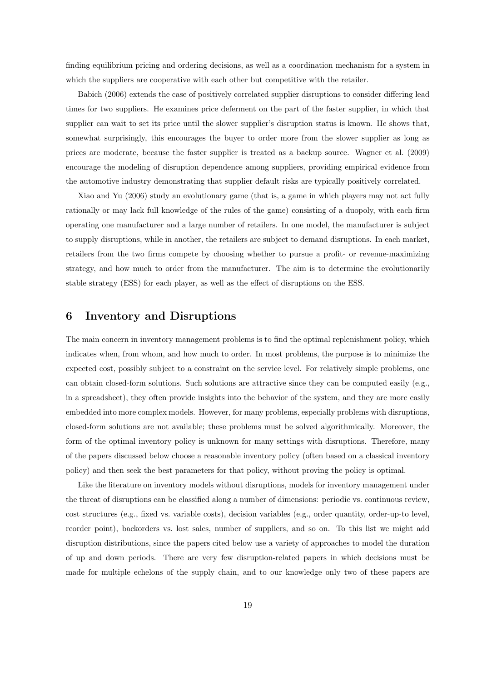finding equilibrium pricing and ordering decisions, as well as a coordination mechanism for a system in which the suppliers are cooperative with each other but competitive with the retailer.

Babich (2006) extends the case of positively correlated supplier disruptions to consider differing lead times for two suppliers. He examines price deferment on the part of the faster supplier, in which that supplier can wait to set its price until the slower supplier's disruption status is known. He shows that, somewhat surprisingly, this encourages the buyer to order more from the slower supplier as long as prices are moderate, because the faster supplier is treated as a backup source. Wagner et al. (2009) encourage the modeling of disruption dependence among suppliers, providing empirical evidence from the automotive industry demonstrating that supplier default risks are typically positively correlated.

Xiao and Yu (2006) study an evolutionary game (that is, a game in which players may not act fully rationally or may lack full knowledge of the rules of the game) consisting of a duopoly, with each firm operating one manufacturer and a large number of retailers. In one model, the manufacturer is subject to supply disruptions, while in another, the retailers are subject to demand disruptions. In each market, retailers from the two firms compete by choosing whether to pursue a profit- or revenue-maximizing strategy, and how much to order from the manufacturer. The aim is to determine the evolutionarily stable strategy (ESS) for each player, as well as the effect of disruptions on the ESS.

### **6 Inventory and Disruptions**

The main concern in inventory management problems is to find the optimal replenishment policy, which indicates when, from whom, and how much to order. In most problems, the purpose is to minimize the expected cost, possibly subject to a constraint on the service level. For relatively simple problems, one can obtain closed-form solutions. Such solutions are attractive since they can be computed easily (e.g., in a spreadsheet), they often provide insights into the behavior of the system, and they are more easily embedded into more complex models. However, for many problems, especially problems with disruptions, closed-form solutions are not available; these problems must be solved algorithmically. Moreover, the form of the optimal inventory policy is unknown for many settings with disruptions. Therefore, many of the papers discussed below choose a reasonable inventory policy (often based on a classical inventory policy) and then seek the best parameters for that policy, without proving the policy is optimal.

Like the literature on inventory models without disruptions, models for inventory management under the threat of disruptions can be classified along a number of dimensions: periodic vs. continuous review, cost structures (e.g., fixed vs. variable costs), decision variables (e.g., order quantity, order-up-to level, reorder point), backorders vs. lost sales, number of suppliers, and so on. To this list we might add disruption distributions, since the papers cited below use a variety of approaches to model the duration of up and down periods. There are very few disruption-related papers in which decisions must be made for multiple echelons of the supply chain, and to our knowledge only two of these papers are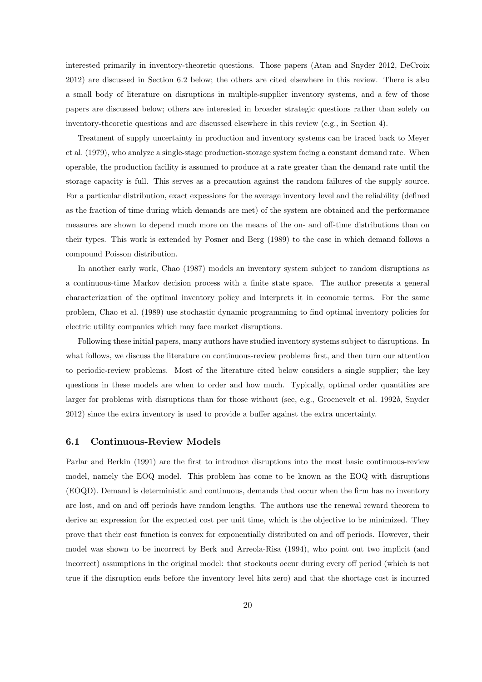interested primarily in inventory-theoretic questions. Those papers (Atan and Snyder 2012, DeCroix 2012) are discussed in Section 6.2 below; the others are cited elsewhere in this review. There is also a small body of literature on disruptions in multiple-supplier inventory systems, and a few of those papers are discussed below; others are interested in broader strategic questions rather than solely on inventory-theoretic questions and are discussed elsewhere in this review (e.g., in Section 4).

Treatment of supply uncertainty in production and inventory systems can be traced back to Meyer et al. (1979), who analyze a single-stage production-storage system facing a constant demand rate. When operable, the production facility is assumed to produce at a rate greater than the demand rate until the storage capacity is full. This serves as a precaution against the random failures of the supply source. For a particular distribution, exact expessions for the average inventory level and the reliability (defined as the fraction of time during which demands are met) of the system are obtained and the performance measures are shown to depend much more on the means of the on- and off-time distributions than on their types. This work is extended by Posner and Berg (1989) to the case in which demand follows a compound Poisson distribution.

In another early work, Chao (1987) models an inventory system subject to random disruptions as a continuous-time Markov decision process with a finite state space. The author presents a general characterization of the optimal inventory policy and interprets it in economic terms. For the same problem, Chao et al. (1989) use stochastic dynamic programming to find optimal inventory policies for electric utility companies which may face market disruptions.

Following these initial papers, many authors have studied inventory systems subject to disruptions. In what follows, we discuss the literature on continuous-review problems first, and then turn our attention to periodic-review problems. Most of the literature cited below considers a single supplier; the key questions in these models are when to order and how much. Typically, optimal order quantities are larger for problems with disruptions than for those without (see, e.g., Groenevelt et al. 1992*b*, Snyder 2012) since the extra inventory is used to provide a buffer against the extra uncertainty.

### **6.1 Continuous-Review Models**

Parlar and Berkin (1991) are the first to introduce disruptions into the most basic continuous-review model, namely the EOQ model. This problem has come to be known as the EOQ with disruptions (EOQD). Demand is deterministic and continuous, demands that occur when the firm has no inventory are lost, and on and off periods have random lengths. The authors use the renewal reward theorem to derive an expression for the expected cost per unit time, which is the objective to be minimized. They prove that their cost function is convex for exponentially distributed on and off periods. However, their model was shown to be incorrect by Berk and Arreola-Risa (1994), who point out two implicit (and incorrect) assumptions in the original model: that stockouts occur during every off period (which is not true if the disruption ends before the inventory level hits zero) and that the shortage cost is incurred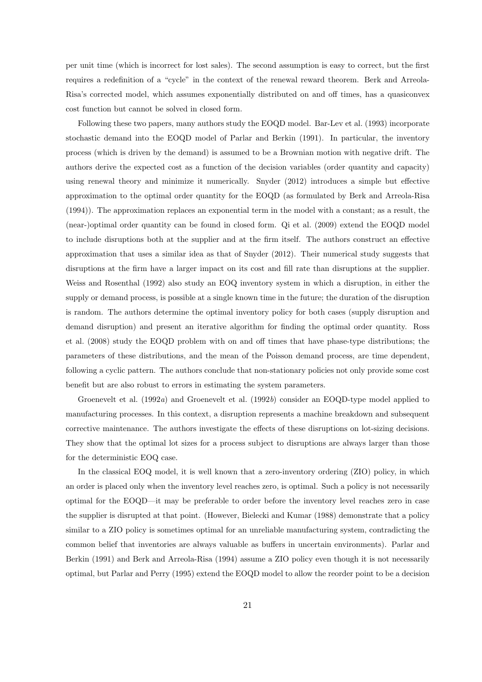per unit time (which is incorrect for lost sales). The second assumption is easy to correct, but the first requires a redefinition of a "cycle" in the context of the renewal reward theorem. Berk and Arreola-Risa's corrected model, which assumes exponentially distributed on and off times, has a quasiconvex cost function but cannot be solved in closed form.

Following these two papers, many authors study the EOQD model. Bar-Lev et al. (1993) incorporate stochastic demand into the EOQD model of Parlar and Berkin (1991). In particular, the inventory process (which is driven by the demand) is assumed to be a Brownian motion with negative drift. The authors derive the expected cost as a function of the decision variables (order quantity and capacity) using renewal theory and minimize it numerically. Snyder (2012) introduces a simple but effective approximation to the optimal order quantity for the EOQD (as formulated by Berk and Arreola-Risa (1994)). The approximation replaces an exponential term in the model with a constant; as a result, the (near-)optimal order quantity can be found in closed form. Qi et al. (2009) extend the EOQD model to include disruptions both at the supplier and at the firm itself. The authors construct an effective approximation that uses a similar idea as that of Snyder (2012). Their numerical study suggests that disruptions at the firm have a larger impact on its cost and fill rate than disruptions at the supplier. Weiss and Rosenthal (1992) also study an EOQ inventory system in which a disruption, in either the supply or demand process, is possible at a single known time in the future; the duration of the disruption is random. The authors determine the optimal inventory policy for both cases (supply disruption and demand disruption) and present an iterative algorithm for finding the optimal order quantity. Ross et al. (2008) study the EOQD problem with on and off times that have phase-type distributions; the parameters of these distributions, and the mean of the Poisson demand process, are time dependent, following a cyclic pattern. The authors conclude that non-stationary policies not only provide some cost benefit but are also robust to errors in estimating the system parameters.

Groenevelt et al. (1992*a*) and Groenevelt et al. (1992*b*) consider an EOQD-type model applied to manufacturing processes. In this context, a disruption represents a machine breakdown and subsequent corrective maintenance. The authors investigate the effects of these disruptions on lot-sizing decisions. They show that the optimal lot sizes for a process subject to disruptions are always larger than those for the deterministic EOQ case.

In the classical EOQ model, it is well known that a zero-inventory ordering (ZIO) policy, in which an order is placed only when the inventory level reaches zero, is optimal. Such a policy is not necessarily optimal for the EOQD—it may be preferable to order before the inventory level reaches zero in case the supplier is disrupted at that point. (However, Bielecki and Kumar (1988) demonstrate that a policy similar to a ZIO policy is sometimes optimal for an unreliable manufacturing system, contradicting the common belief that inventories are always valuable as buffers in uncertain environments). Parlar and Berkin (1991) and Berk and Arreola-Risa (1994) assume a ZIO policy even though it is not necessarily optimal, but Parlar and Perry (1995) extend the EOQD model to allow the reorder point to be a decision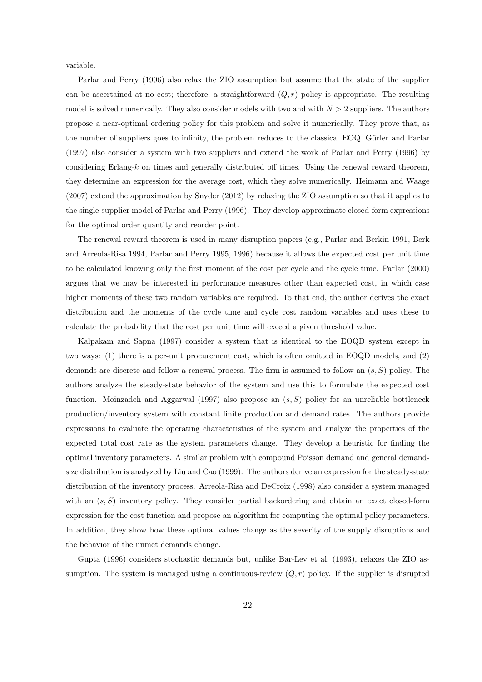variable.

Parlar and Perry (1996) also relax the ZIO assumption but assume that the state of the supplier can be ascertained at no cost; therefore, a straightforward  $(Q, r)$  policy is appropriate. The resulting model is solved numerically. They also consider models with two and with *N >* 2 suppliers. The authors propose a near-optimal ordering policy for this problem and solve it numerically. They prove that, as the number of suppliers goes to infinity, the problem reduces to the classical EOQ. Gürler and Parlar (1997) also consider a system with two suppliers and extend the work of Parlar and Perry (1996) by considering Erlang- $k$  on times and generally distributed off times. Using the renewal reward theorem, they determine an expression for the average cost, which they solve numerically. Heimann and Waage (2007) extend the approximation by Snyder (2012) by relaxing the ZIO assumption so that it applies to the single-supplier model of Parlar and Perry (1996). They develop approximate closed-form expressions for the optimal order quantity and reorder point.

The renewal reward theorem is used in many disruption papers (e.g., Parlar and Berkin 1991, Berk and Arreola-Risa 1994, Parlar and Perry 1995, 1996) because it allows the expected cost per unit time to be calculated knowing only the first moment of the cost per cycle and the cycle time. Parlar (2000) argues that we may be interested in performance measures other than expected cost, in which case higher moments of these two random variables are required. To that end, the author derives the exact distribution and the moments of the cycle time and cycle cost random variables and uses these to calculate the probability that the cost per unit time will exceed a given threshold value.

Kalpakam and Sapna (1997) consider a system that is identical to the EOQD system except in two ways: (1) there is a per-unit procurement cost, which is often omitted in EOQD models, and (2) demands are discrete and follow a renewal process. The firm is assumed to follow an (*s, S*) policy. The authors analyze the steady-state behavior of the system and use this to formulate the expected cost function. Moinzadeh and Aggarwal (1997) also propose an (*s, S*) policy for an unreliable bottleneck production/inventory system with constant finite production and demand rates. The authors provide expressions to evaluate the operating characteristics of the system and analyze the properties of the expected total cost rate as the system parameters change. They develop a heuristic for finding the optimal inventory parameters. A similar problem with compound Poisson demand and general demandsize distribution is analyzed by Liu and Cao (1999). The authors derive an expression for the steady-state distribution of the inventory process. Arreola-Risa and DeCroix (1998) also consider a system managed with an  $(s, S)$  inventory policy. They consider partial backordering and obtain an exact closed-form expression for the cost function and propose an algorithm for computing the optimal policy parameters. In addition, they show how these optimal values change as the severity of the supply disruptions and the behavior of the unmet demands change.

Gupta (1996) considers stochastic demands but, unlike Bar-Lev et al. (1993), relaxes the ZIO assumption. The system is managed using a continuous-review  $(Q, r)$  policy. If the supplier is disrupted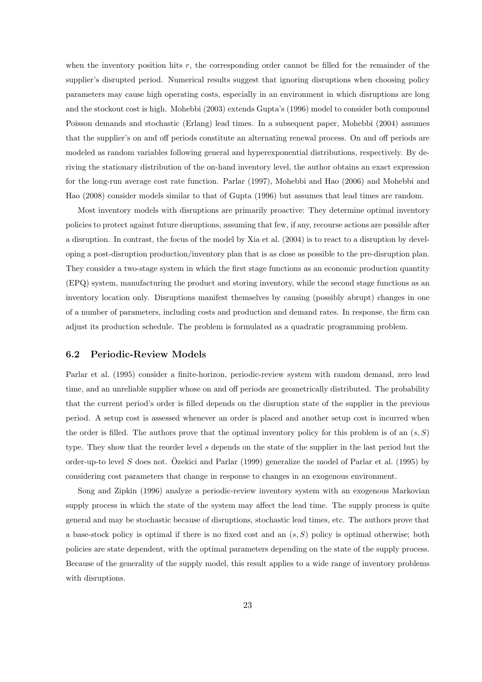when the inventory position hits  $r$ , the corresponding order cannot be filled for the remainder of the supplier's disrupted period. Numerical results suggest that ignoring disruptions when choosing policy parameters may cause high operating costs, especially in an environment in which disruptions are long and the stockout cost is high. Mohebbi (2003) extends Gupta's (1996) model to consider both compound Poisson demands and stochastic (Erlang) lead times. In a subsequent paper, Mohebbi (2004) assumes that the supplier's on and off periods constitute an alternating renewal process. On and off periods are modeled as random variables following general and hyperexponential distributions, respectively. By deriving the stationary distribution of the on-hand inventory level, the author obtains an exact expression for the long-run average cost rate function. Parlar (1997), Mohebbi and Hao (2006) and Mohebbi and Hao (2008) consider models similar to that of Gupta (1996) but assumes that lead times are random.

Most inventory models with disruptions are primarily proactive: They determine optimal inventory policies to protect against future disruptions, assuming that few, if any, recourse actions are possible after a disruption. In contrast, the focus of the model by Xia et al. (2004) is to react to a disruption by developing a post-disruption production/inventory plan that is as close as possible to the pre-disruption plan. They consider a two-stage system in which the first stage functions as an economic production quantity (EPQ) system, manufacturing the product and storing inventory, while the second stage functions as an inventory location only. Disruptions manifest themselves by causing (possibly abrupt) changes in one of a number of parameters, including costs and production and demand rates. In response, the firm can adjust its production schedule. The problem is formulated as a quadratic programming problem.

### **6.2 Periodic-Review Models**

Parlar et al. (1995) consider a finite-horizon, periodic-review system with random demand, zero lead time, and an unreliable supplier whose on and off periods are geometrically distributed. The probability that the current period's order is filled depends on the disruption state of the supplier in the previous period. A setup cost is assessed whenever an order is placed and another setup cost is incurred when the order is filled. The authors prove that the optimal inventory policy for this problem is of an (*s, S*) type. They show that the reorder level *s* depends on the state of the supplier in the last period but the order-up-to level *S* does not. Özekici and Parlar (1999) generalize the model of Parlar et al. (1995) by considering cost parameters that change in response to changes in an exogenous environment.

Song and Zipkin (1996) analyze a periodic-review inventory system with an exogenous Markovian supply process in which the state of the system may affect the lead time. The supply process is quite general and may be stochastic because of disruptions, stochastic lead times, etc. The authors prove that a base-stock policy is optimal if there is no fixed cost and an (*s, S*) policy is optimal otherwise; both policies are state dependent, with the optimal parameters depending on the state of the supply process. Because of the generality of the supply model, this result applies to a wide range of inventory problems with disruptions.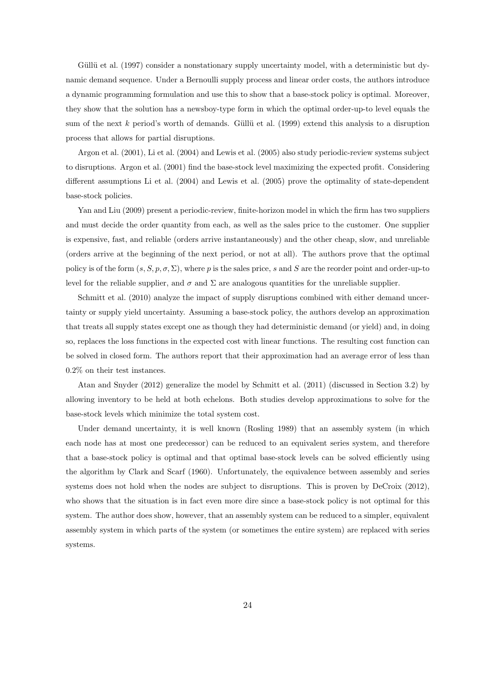Güllü et al. (1997) consider a nonstationary supply uncertainty model, with a deterministic but dynamic demand sequence. Under a Bernoulli supply process and linear order costs, the authors introduce a dynamic programming formulation and use this to show that a base-stock policy is optimal. Moreover, they show that the solution has a newsboy-type form in which the optimal order-up-to level equals the sum of the next  $k$  period's worth of demands. Güllü et al. (1999) extend this analysis to a disruption process that allows for partial disruptions.

Argon et al. (2001), Li et al. (2004) and Lewis et al. (2005) also study periodic-review systems subject to disruptions. Argon et al. (2001) find the base-stock level maximizing the expected profit. Considering different assumptions Li et al. (2004) and Lewis et al. (2005) prove the optimality of state-dependent base-stock policies.

Yan and Liu (2009) present a periodic-review, finite-horizon model in which the firm has two suppliers and must decide the order quantity from each, as well as the sales price to the customer. One supplier is expensive, fast, and reliable (orders arrive instantaneously) and the other cheap, slow, and unreliable (orders arrive at the beginning of the next period, or not at all). The authors prove that the optimal policy is of the form  $(s, S, p, \sigma, \Sigma)$ , where p is the sales price, *s* and *S* are the reorder point and order-up-to level for the reliable supplier, and *σ* and  $Σ$  are analogous quantities for the unreliable supplier.

Schmitt et al. (2010) analyze the impact of supply disruptions combined with either demand uncertainty or supply yield uncertainty. Assuming a base-stock policy, the authors develop an approximation that treats all supply states except one as though they had deterministic demand (or yield) and, in doing so, replaces the loss functions in the expected cost with linear functions. The resulting cost function can be solved in closed form. The authors report that their approximation had an average error of less than 0.2% on their test instances.

Atan and Snyder (2012) generalize the model by Schmitt et al. (2011) (discussed in Section 3.2) by allowing inventory to be held at both echelons. Both studies develop approximations to solve for the base-stock levels which minimize the total system cost.

Under demand uncertainty, it is well known (Rosling 1989) that an assembly system (in which each node has at most one predecessor) can be reduced to an equivalent series system, and therefore that a base-stock policy is optimal and that optimal base-stock levels can be solved efficiently using the algorithm by Clark and Scarf (1960). Unfortunately, the equivalence between assembly and series systems does not hold when the nodes are subject to disruptions. This is proven by DeCroix (2012), who shows that the situation is in fact even more dire since a base-stock policy is not optimal for this system. The author does show, however, that an assembly system can be reduced to a simpler, equivalent assembly system in which parts of the system (or sometimes the entire system) are replaced with series systems.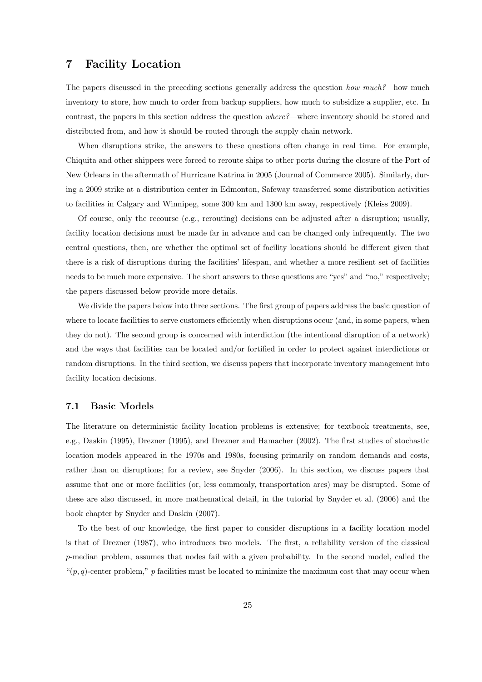### **7 Facility Location**

The papers discussed in the preceding sections generally address the question *how much?*—how much inventory to store, how much to order from backup suppliers, how much to subsidize a supplier, etc. In contrast, the papers in this section address the question *where?*—where inventory should be stored and distributed from, and how it should be routed through the supply chain network.

When disruptions strike, the answers to these questions often change in real time. For example, Chiquita and other shippers were forced to reroute ships to other ports during the closure of the Port of New Orleans in the aftermath of Hurricane Katrina in 2005 (Journal of Commerce 2005). Similarly, during a 2009 strike at a distribution center in Edmonton, Safeway transferred some distribution activities to facilities in Calgary and Winnipeg, some 300 km and 1300 km away, respectively (Kleiss 2009).

Of course, only the recourse (e.g., rerouting) decisions can be adjusted after a disruption; usually, facility location decisions must be made far in advance and can be changed only infrequently. The two central questions, then, are whether the optimal set of facility locations should be different given that there is a risk of disruptions during the facilities' lifespan, and whether a more resilient set of facilities needs to be much more expensive. The short answers to these questions are "yes" and "no," respectively; the papers discussed below provide more details.

We divide the papers below into three sections. The first group of papers address the basic question of where to locate facilities to serve customers efficiently when disruptions occur (and, in some papers, when they do not). The second group is concerned with interdiction (the intentional disruption of a network) and the ways that facilities can be located and/or fortified in order to protect against interdictions or random disruptions. In the third section, we discuss papers that incorporate inventory management into facility location decisions.

### **7.1 Basic Models**

The literature on deterministic facility location problems is extensive; for textbook treatments, see, e.g., Daskin (1995), Drezner (1995), and Drezner and Hamacher (2002). The first studies of stochastic location models appeared in the 1970s and 1980s, focusing primarily on random demands and costs, rather than on disruptions; for a review, see Snyder (2006). In this section, we discuss papers that assume that one or more facilities (or, less commonly, transportation arcs) may be disrupted. Some of these are also discussed, in more mathematical detail, in the tutorial by Snyder et al. (2006) and the book chapter by Snyder and Daskin (2007).

To the best of our knowledge, the first paper to consider disruptions in a facility location model is that of Drezner (1987), who introduces two models. The first, a reliability version of the classical *p*-median problem, assumes that nodes fail with a given probability. In the second model, called the " $(p, q)$ -center problem," *p* facilities must be located to minimize the maximum cost that may occur when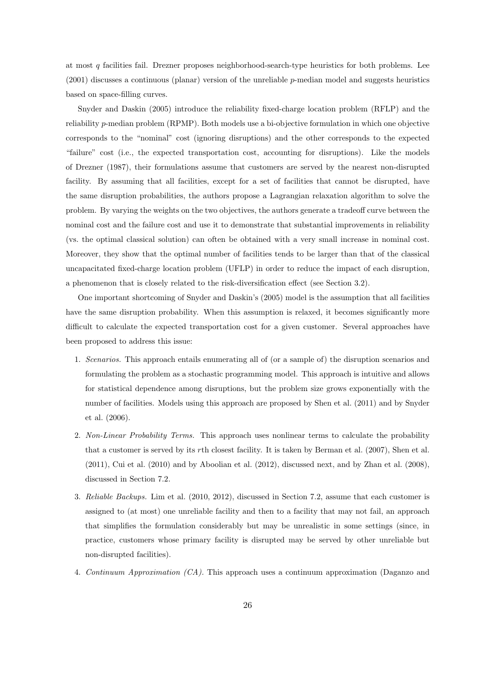at most *q* facilities fail. Drezner proposes neighborhood-search-type heuristics for both problems. Lee (2001) discusses a continuous (planar) version of the unreliable *p*-median model and suggests heuristics based on space-filling curves.

Snyder and Daskin (2005) introduce the reliability fixed-charge location problem (RFLP) and the reliability *p*-median problem (RPMP). Both models use a bi-objective formulation in which one objective corresponds to the "nominal" cost (ignoring disruptions) and the other corresponds to the expected "failure" cost (i.e., the expected transportation cost, accounting for disruptions). Like the models of Drezner (1987), their formulations assume that customers are served by the nearest non-disrupted facility. By assuming that all facilities, except for a set of facilities that cannot be disrupted, have the same disruption probabilities, the authors propose a Lagrangian relaxation algorithm to solve the problem. By varying the weights on the two objectives, the authors generate a tradeoff curve between the nominal cost and the failure cost and use it to demonstrate that substantial improvements in reliability (vs. the optimal classical solution) can often be obtained with a very small increase in nominal cost. Moreover, they show that the optimal number of facilities tends to be larger than that of the classical uncapacitated fixed-charge location problem (UFLP) in order to reduce the impact of each disruption, a phenomenon that is closely related to the risk-diversification effect (see Section 3.2).

One important shortcoming of Snyder and Daskin's (2005) model is the assumption that all facilities have the same disruption probability. When this assumption is relaxed, it becomes significantly more difficult to calculate the expected transportation cost for a given customer. Several approaches have been proposed to address this issue:

- 1. *Scenarios.* This approach entails enumerating all of (or a sample of) the disruption scenarios and formulating the problem as a stochastic programming model. This approach is intuitive and allows for statistical dependence among disruptions, but the problem size grows exponentially with the number of facilities. Models using this approach are proposed by Shen et al. (2011) and by Snyder et al. (2006).
- 2. *Non-Linear Probability Terms.* This approach uses nonlinear terms to calculate the probability that a customer is served by its *r*th closest facility. It is taken by Berman et al. (2007), Shen et al. (2011), Cui et al. (2010) and by Aboolian et al. (2012), discussed next, and by Zhan et al. (2008), discussed in Section 7.2.
- 3. *Reliable Backups.* Lim et al. (2010, 2012), discussed in Section 7.2, assume that each customer is assigned to (at most) one unreliable facility and then to a facility that may not fail, an approach that simplifies the formulation considerably but may be unrealistic in some settings (since, in practice, customers whose primary facility is disrupted may be served by other unreliable but non-disrupted facilities).
- 4. *Continuum Approximation (CA).* This approach uses a continuum approximation (Daganzo and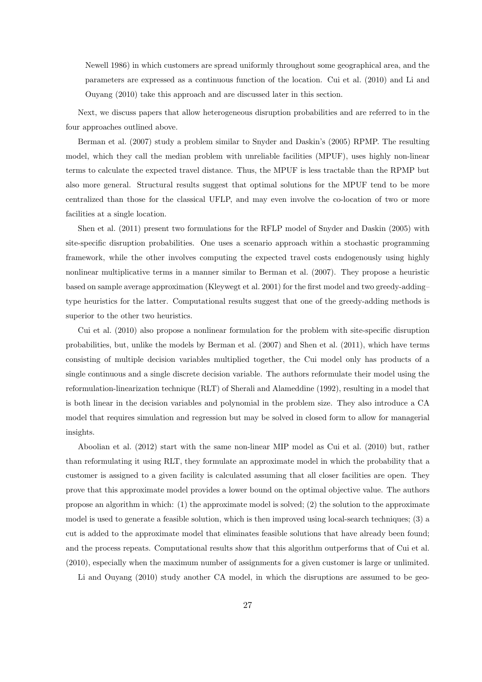Newell 1986) in which customers are spread uniformly throughout some geographical area, and the parameters are expressed as a continuous function of the location. Cui et al. (2010) and Li and Ouyang (2010) take this approach and are discussed later in this section.

Next, we discuss papers that allow heterogeneous disruption probabilities and are referred to in the four approaches outlined above.

Berman et al. (2007) study a problem similar to Snyder and Daskin's (2005) RPMP. The resulting model, which they call the median problem with unreliable facilities (MPUF), uses highly non-linear terms to calculate the expected travel distance. Thus, the MPUF is less tractable than the RPMP but also more general. Structural results suggest that optimal solutions for the MPUF tend to be more centralized than those for the classical UFLP, and may even involve the co-location of two or more facilities at a single location.

Shen et al. (2011) present two formulations for the RFLP model of Snyder and Daskin (2005) with site-specific disruption probabilities. One uses a scenario approach within a stochastic programming framework, while the other involves computing the expected travel costs endogenously using highly nonlinear multiplicative terms in a manner similar to Berman et al. (2007). They propose a heuristic based on sample average approximation (Kleywegt et al. 2001) for the first model and two greedy-adding– type heuristics for the latter. Computational results suggest that one of the greedy-adding methods is superior to the other two heuristics.

Cui et al. (2010) also propose a nonlinear formulation for the problem with site-specific disruption probabilities, but, unlike the models by Berman et al. (2007) and Shen et al. (2011), which have terms consisting of multiple decision variables multiplied together, the Cui model only has products of a single continuous and a single discrete decision variable. The authors reformulate their model using the reformulation-linearization technique (RLT) of Sherali and Alameddine (1992), resulting in a model that is both linear in the decision variables and polynomial in the problem size. They also introduce a CA model that requires simulation and regression but may be solved in closed form to allow for managerial insights.

Aboolian et al. (2012) start with the same non-linear MIP model as Cui et al. (2010) but, rather than reformulating it using RLT, they formulate an approximate model in which the probability that a customer is assigned to a given facility is calculated assuming that all closer facilities are open. They prove that this approximate model provides a lower bound on the optimal objective value. The authors propose an algorithm in which: (1) the approximate model is solved; (2) the solution to the approximate model is used to generate a feasible solution, which is then improved using local-search techniques; (3) a cut is added to the approximate model that eliminates feasible solutions that have already been found; and the process repeats. Computational results show that this algorithm outperforms that of Cui et al. (2010), especially when the maximum number of assignments for a given customer is large or unlimited.

Li and Ouyang (2010) study another CA model, in which the disruptions are assumed to be geo-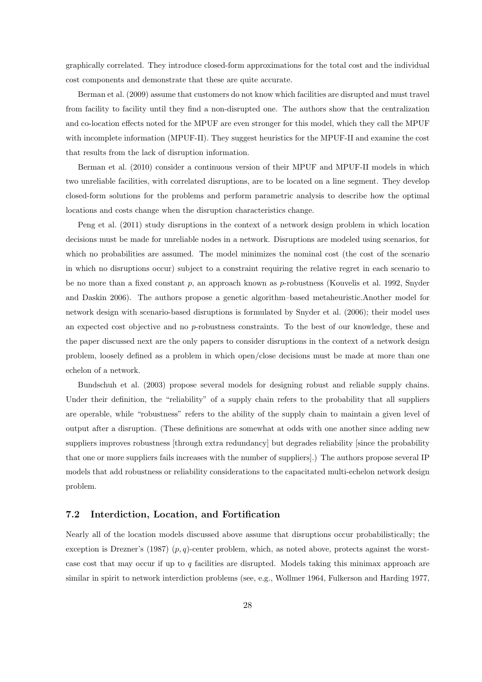graphically correlated. They introduce closed-form approximations for the total cost and the individual cost components and demonstrate that these are quite accurate.

Berman et al. (2009) assume that customers do not know which facilities are disrupted and must travel from facility to facility until they find a non-disrupted one. The authors show that the centralization and co-location effects noted for the MPUF are even stronger for this model, which they call the MPUF with incomplete information (MPUF-II). They suggest heuristics for the MPUF-II and examine the cost that results from the lack of disruption information.

Berman et al. (2010) consider a continuous version of their MPUF and MPUF-II models in which two unreliable facilities, with correlated disruptions, are to be located on a line segment. They develop closed-form solutions for the problems and perform parametric analysis to describe how the optimal locations and costs change when the disruption characteristics change.

Peng et al. (2011) study disruptions in the context of a network design problem in which location decisions must be made for unreliable nodes in a network. Disruptions are modeled using scenarios, for which no probabilities are assumed. The model minimizes the nominal cost (the cost of the scenario in which no disruptions occur) subject to a constraint requiring the relative regret in each scenario to be no more than a fixed constant *p*, an approach known as *p*-robustness (Kouvelis et al. 1992, Snyder and Daskin 2006). The authors propose a genetic algorithm–based metaheuristic.Another model for network design with scenario-based disruptions is formulated by Snyder et al. (2006); their model uses an expected cost objective and no *p*-robustness constraints. To the best of our knowledge, these and the paper discussed next are the only papers to consider disruptions in the context of a network design problem, loosely defined as a problem in which open/close decisions must be made at more than one echelon of a network.

Bundschuh et al. (2003) propose several models for designing robust and reliable supply chains. Under their definition, the "reliability" of a supply chain refers to the probability that all suppliers are operable, while "robustness" refers to the ability of the supply chain to maintain a given level of output after a disruption. (These definitions are somewhat at odds with one another since adding new suppliers improves robustness [through extra redundancy] but degrades reliability [since the probability that one or more suppliers fails increases with the number of suppliers].) The authors propose several IP models that add robustness or reliability considerations to the capacitated multi-echelon network design problem.

### **7.2 Interdiction, Location, and Fortification**

Nearly all of the location models discussed above assume that disruptions occur probabilistically; the exception is Drezner's (1987)  $(p, q)$ -center problem, which, as noted above, protects against the worstcase cost that may occur if up to *q* facilities are disrupted. Models taking this minimax approach are similar in spirit to network interdiction problems (see, e.g., Wollmer 1964, Fulkerson and Harding 1977,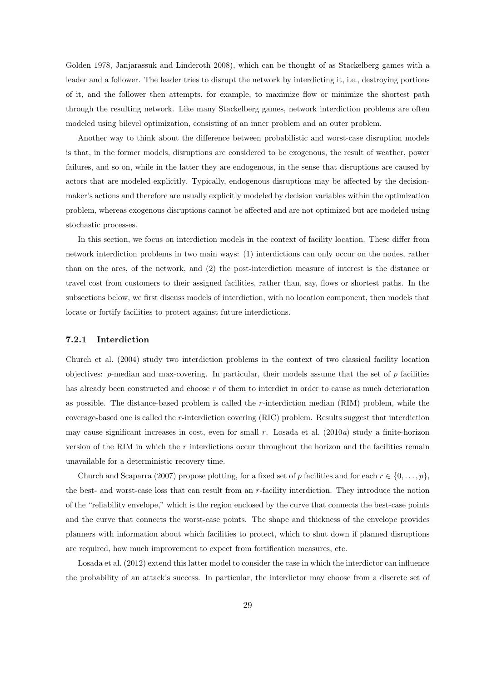Golden 1978, Janjarassuk and Linderoth 2008), which can be thought of as Stackelberg games with a leader and a follower. The leader tries to disrupt the network by interdicting it, i.e., destroying portions of it, and the follower then attempts, for example, to maximize flow or minimize the shortest path through the resulting network. Like many Stackelberg games, network interdiction problems are often modeled using bilevel optimization, consisting of an inner problem and an outer problem.

Another way to think about the difference between probabilistic and worst-case disruption models is that, in the former models, disruptions are considered to be exogenous, the result of weather, power failures, and so on, while in the latter they are endogenous, in the sense that disruptions are caused by actors that are modeled explicitly. Typically, endogenous disruptions may be affected by the decisionmaker's actions and therefore are usually explicitly modeled by decision variables within the optimization problem, whereas exogenous disruptions cannot be affected and are not optimized but are modeled using stochastic processes.

In this section, we focus on interdiction models in the context of facility location. These differ from network interdiction problems in two main ways: (1) interdictions can only occur on the nodes, rather than on the arcs, of the network, and (2) the post-interdiction measure of interest is the distance or travel cost from customers to their assigned facilities, rather than, say, flows or shortest paths. In the subsections below, we first discuss models of interdiction, with no location component, then models that locate or fortify facilities to protect against future interdictions.

#### **7.2.1 Interdiction**

Church et al. (2004) study two interdiction problems in the context of two classical facility location objectives: *p*-median and max-covering. In particular, their models assume that the set of *p* facilities has already been constructed and choose *r* of them to interdict in order to cause as much deterioration as possible. The distance-based problem is called the *r*-interdiction median (RIM) problem, while the coverage-based one is called the *r*-interdiction covering (RIC) problem. Results suggest that interdiction may cause significant increases in cost, even for small *r*. Losada et al. (2010*a*) study a finite-horizon version of the RIM in which the *r* interdictions occur throughout the horizon and the facilities remain unavailable for a deterministic recovery time.

Church and Scaparra (2007) propose plotting, for a fixed set of *p* facilities and for each  $r \in \{0, \ldots, p\}$ , the best- and worst-case loss that can result from an *r*-facility interdiction. They introduce the notion of the "reliability envelope," which is the region enclosed by the curve that connects the best-case points and the curve that connects the worst-case points. The shape and thickness of the envelope provides planners with information about which facilities to protect, which to shut down if planned disruptions are required, how much improvement to expect from fortification measures, etc.

Losada et al. (2012) extend this latter model to consider the case in which the interdictor can influence the probability of an attack's success. In particular, the interdictor may choose from a discrete set of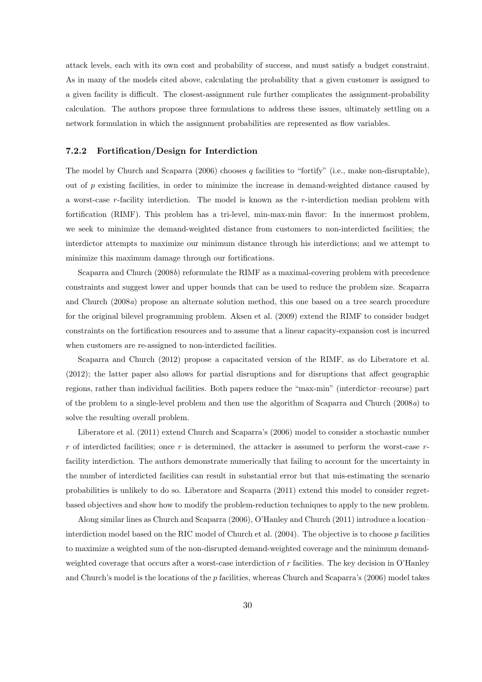attack levels, each with its own cost and probability of success, and must satisfy a budget constraint. As in many of the models cited above, calculating the probability that a given customer is assigned to a given facility is difficult. The closest-assignment rule further complicates the assignment-probability calculation. The authors propose three formulations to address these issues, ultimately settling on a network formulation in which the assignment probabilities are represented as flow variables.

#### **7.2.2 Fortification/Design for Interdiction**

The model by Church and Scaparra (2006) chooses *q* facilities to "fortify" (i.e., make non-disruptable), out of *p* existing facilities, in order to minimize the increase in demand-weighted distance caused by a worst-case *r*-facility interdiction. The model is known as the *r*-interdiction median problem with fortification (RIMF). This problem has a tri-level, min-max-min flavor: In the innermost problem, we seek to minimize the demand-weighted distance from customers to non-interdicted facilities; the interdictor attempts to maximize our minimum distance through his interdictions; and we attempt to minimize this maximum damage through our fortifications.

Scaparra and Church (2008*b*) reformulate the RIMF as a maximal-covering problem with precedence constraints and suggest lower and upper bounds that can be used to reduce the problem size. Scaparra and Church (2008*a*) propose an alternate solution method, this one based on a tree search procedure for the original bilevel programming problem. Aksen et al. (2009) extend the RIMF to consider budget constraints on the fortification resources and to assume that a linear capacity-expansion cost is incurred when customers are re-assigned to non-interdicted facilities.

Scaparra and Church (2012) propose a capacitated version of the RIMF, as do Liberatore et al. (2012); the latter paper also allows for partial disruptions and for disruptions that affect geographic regions, rather than individual facilities. Both papers reduce the "max-min" (interdictor–recourse) part of the problem to a single-level problem and then use the algorithm of Scaparra and Church (2008*a*) to solve the resulting overall problem.

Liberatore et al. (2011) extend Church and Scaparra's (2006) model to consider a stochastic number *r* of interdicted facilities; once *r* is determined, the attacker is assumed to perform the worst-case *r*facility interdiction. The authors demonstrate numerically that failing to account for the uncertainty in the number of interdicted facilities can result in substantial error but that mis-estimating the scenario probabilities is unlikely to do so. Liberatore and Scaparra (2011) extend this model to consider regretbased objectives and show how to modify the problem-reduction techniques to apply to the new problem.

Along similar lines as Church and Scaparra (2006), O'Hanley and Church (2011) introduce a location– interdiction model based on the RIC model of Church et al. (2004). The objective is to choose *p* facilities to maximize a weighted sum of the non-disrupted demand-weighted coverage and the minimum demandweighted coverage that occurs after a worst-case interdiction of *r* facilities. The key decision in O'Hanley and Church's model is the locations of the *p* facilities, whereas Church and Scaparra's (2006) model takes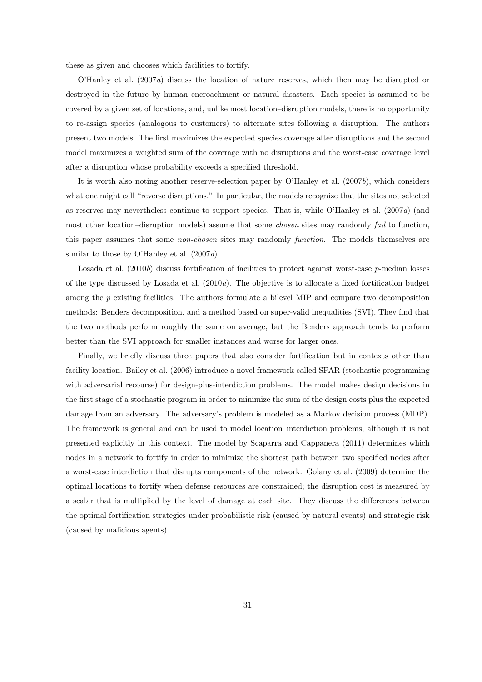these as given and chooses which facilities to fortify.

O'Hanley et al. (2007*a*) discuss the location of nature reserves, which then may be disrupted or destroyed in the future by human encroachment or natural disasters. Each species is assumed to be covered by a given set of locations, and, unlike most location–disruption models, there is no opportunity to re-assign species (analogous to customers) to alternate sites following a disruption. The authors present two models. The first maximizes the expected species coverage after disruptions and the second model maximizes a weighted sum of the coverage with no disruptions and the worst-case coverage level after a disruption whose probability exceeds a specified threshold.

It is worth also noting another reserve-selection paper by O'Hanley et al. (2007*b*), which considers what one might call "reverse disruptions." In particular, the models recognize that the sites not selected as reserves may nevertheless continue to support species. That is, while O'Hanley et al. (2007*a*) (and most other location–disruption models) assume that some *chosen* sites may randomly *fail* to function, this paper assumes that some *non-chosen* sites may randomly *function*. The models themselves are similar to those by O'Hanley et al. (2007*a*).

Losada et al. (2010*b*) discuss fortification of facilities to protect against worst-case *p*-median losses of the type discussed by Losada et al. (2010*a*). The objective is to allocate a fixed fortification budget among the *p* existing facilities. The authors formulate a bilevel MIP and compare two decomposition methods: Benders decomposition, and a method based on super-valid inequalities (SVI). They find that the two methods perform roughly the same on average, but the Benders approach tends to perform better than the SVI approach for smaller instances and worse for larger ones.

Finally, we briefly discuss three papers that also consider fortification but in contexts other than facility location. Bailey et al. (2006) introduce a novel framework called SPAR (stochastic programming with adversarial recourse) for design-plus-interdiction problems. The model makes design decisions in the first stage of a stochastic program in order to minimize the sum of the design costs plus the expected damage from an adversary. The adversary's problem is modeled as a Markov decision process (MDP). The framework is general and can be used to model location–interdiction problems, although it is not presented explicitly in this context. The model by Scaparra and Cappanera (2011) determines which nodes in a network to fortify in order to minimize the shortest path between two specified nodes after a worst-case interdiction that disrupts components of the network. Golany et al. (2009) determine the optimal locations to fortify when defense resources are constrained; the disruption cost is measured by a scalar that is multiplied by the level of damage at each site. They discuss the differences between the optimal fortification strategies under probabilistic risk (caused by natural events) and strategic risk (caused by malicious agents).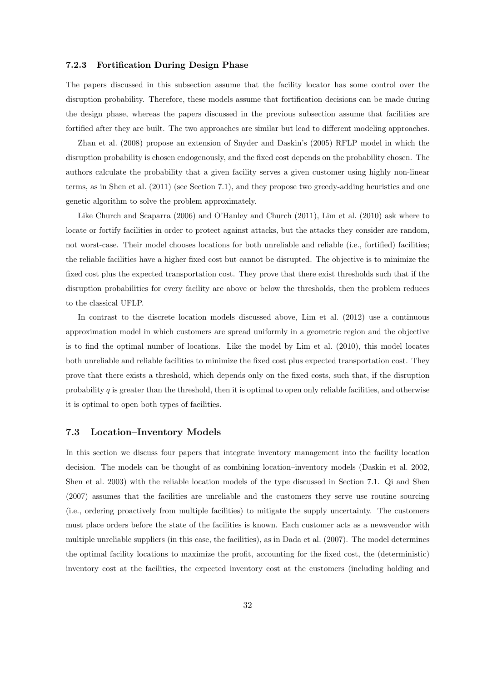#### **7.2.3 Fortification During Design Phase**

The papers discussed in this subsection assume that the facility locator has some control over the disruption probability. Therefore, these models assume that fortification decisions can be made during the design phase, whereas the papers discussed in the previous subsection assume that facilities are fortified after they are built. The two approaches are similar but lead to different modeling approaches.

Zhan et al. (2008) propose an extension of Snyder and Daskin's (2005) RFLP model in which the disruption probability is chosen endogenously, and the fixed cost depends on the probability chosen. The authors calculate the probability that a given facility serves a given customer using highly non-linear terms, as in Shen et al. (2011) (see Section 7.1), and they propose two greedy-adding heuristics and one genetic algorithm to solve the problem approximately.

Like Church and Scaparra (2006) and O'Hanley and Church (2011), Lim et al. (2010) ask where to locate or fortify facilities in order to protect against attacks, but the attacks they consider are random, not worst-case. Their model chooses locations for both unreliable and reliable (i.e., fortified) facilities; the reliable facilities have a higher fixed cost but cannot be disrupted. The objective is to minimize the fixed cost plus the expected transportation cost. They prove that there exist thresholds such that if the disruption probabilities for every facility are above or below the thresholds, then the problem reduces to the classical UFLP.

In contrast to the discrete location models discussed above, Lim et al. (2012) use a continuous approximation model in which customers are spread uniformly in a geometric region and the objective is to find the optimal number of locations. Like the model by Lim et al. (2010), this model locates both unreliable and reliable facilities to minimize the fixed cost plus expected transportation cost. They prove that there exists a threshold, which depends only on the fixed costs, such that, if the disruption probability *q* is greater than the threshold, then it is optimal to open only reliable facilities, and otherwise it is optimal to open both types of facilities.

### **7.3 Location–Inventory Models**

In this section we discuss four papers that integrate inventory management into the facility location decision. The models can be thought of as combining location–inventory models (Daskin et al. 2002, Shen et al. 2003) with the reliable location models of the type discussed in Section 7.1. Qi and Shen (2007) assumes that the facilities are unreliable and the customers they serve use routine sourcing (i.e., ordering proactively from multiple facilities) to mitigate the supply uncertainty. The customers must place orders before the state of the facilities is known. Each customer acts as a newsvendor with multiple unreliable suppliers (in this case, the facilities), as in Dada et al. (2007). The model determines the optimal facility locations to maximize the profit, accounting for the fixed cost, the (deterministic) inventory cost at the facilities, the expected inventory cost at the customers (including holding and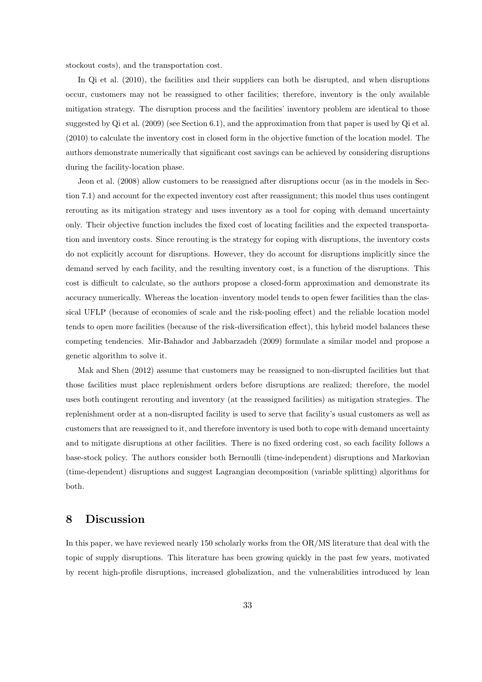stockout costs), and the transportation cost.

In Qi et al. (2010), the facilities and their suppliers can both be disrupted, and when disruptions occur, customers may not be reassigned to other facilities; therefore, inventory is the only available mitigation strategy. The disruption process and the facilities' inventory problem are identical to those suggested by Qi et al. (2009) (see Section 6.1), and the approximation from that paper is used by Qi et al. (2010) to calculate the inventory cost in closed form in the objective function of the location model. The authors demonstrate numerically that significant cost savings can be achieved by considering disruptions during the facility-location phase.

Jeon et al. (2008) allow customers to be reassigned after disruptions occur (as in the models in Section 7.1) and account for the expected inventory cost after reassignment; this model thus uses contingent rerouting as its mitigation strategy and uses inventory as a tool for coping with demand uncertainty only. Their objective function includes the fixed cost of locating facilities and the expected transportation and inventory costs. Since rerouting is the strategy for coping with disruptions, the inventory costs do not explicitly account for disruptions. However, they do account for disruptions implicitly since the demand served by each facility, and the resulting inventory cost, is a function of the disruptions. This cost is difficult to calculate, so the authors propose a closed-form approximation and demonstrate its accuracy numerically. Whereas the location–inventory model tends to open fewer facilities than the classical UFLP (because of economies of scale and the risk-pooling effect) and the reliable location model tends to open more facilities (because of the risk-diversification effect), this hybrid model balances these competing tendencies. Mir-Bahador and Jabbarzadeh (2009) formulate a similar model and propose a genetic algorithm to solve it.

Mak and Shen (2012) assume that customers may be reassigned to non-disrupted facilities but that those facilities must place replenishment orders before disruptions are realized; therefore, the model uses both contingent rerouting and inventory (at the reassigned facilities) as mitigation strategies. The replenishment order at a non-disrupted facility is used to serve that facility's usual customers as well as customers that are reassigned to it, and therefore inventory is used both to cope with demand uncertainty and to mitigate disruptions at other facilities. There is no fixed ordering cost, so each facility follows a base-stock policy. The authors consider both Bernoulli (time-independent) disruptions and Markovian (time-dependent) disruptions and suggest Lagrangian decomposition (variable splitting) algorithms for both.

## **8 Discussion**

In this paper, we have reviewed nearly 150 scholarly works from the OR/MS literature that deal with the topic of supply disruptions. This literature has been growing quickly in the past few years, motivated by recent high-profile disruptions, increased globalization, and the vulnerabilities introduced by lean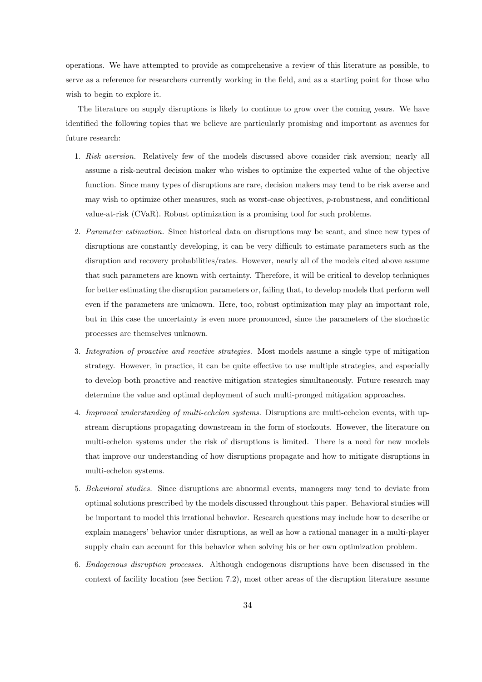operations. We have attempted to provide as comprehensive a review of this literature as possible, to serve as a reference for researchers currently working in the field, and as a starting point for those who wish to begin to explore it.

The literature on supply disruptions is likely to continue to grow over the coming years. We have identified the following topics that we believe are particularly promising and important as avenues for future research:

- 1. *Risk aversion.* Relatively few of the models discussed above consider risk aversion; nearly all assume a risk-neutral decision maker who wishes to optimize the expected value of the objective function. Since many types of disruptions are rare, decision makers may tend to be risk averse and may wish to optimize other measures, such as worst-case objectives, *p*-robustness, and conditional value-at-risk (CVaR). Robust optimization is a promising tool for such problems.
- 2. *Parameter estimation.* Since historical data on disruptions may be scant, and since new types of disruptions are constantly developing, it can be very difficult to estimate parameters such as the disruption and recovery probabilities/rates. However, nearly all of the models cited above assume that such parameters are known with certainty. Therefore, it will be critical to develop techniques for better estimating the disruption parameters or, failing that, to develop models that perform well even if the parameters are unknown. Here, too, robust optimization may play an important role, but in this case the uncertainty is even more pronounced, since the parameters of the stochastic processes are themselves unknown.
- 3. *Integration of proactive and reactive strategies.* Most models assume a single type of mitigation strategy. However, in practice, it can be quite effective to use multiple strategies, and especially to develop both proactive and reactive mitigation strategies simultaneously. Future research may determine the value and optimal deployment of such multi-pronged mitigation approaches.
- 4. *Improved understanding of multi-echelon systems.* Disruptions are multi-echelon events, with upstream disruptions propagating downstream in the form of stockouts. However, the literature on multi-echelon systems under the risk of disruptions is limited. There is a need for new models that improve our understanding of how disruptions propagate and how to mitigate disruptions in multi-echelon systems.
- 5. *Behavioral studies.* Since disruptions are abnormal events, managers may tend to deviate from optimal solutions prescribed by the models discussed throughout this paper. Behavioral studies will be important to model this irrational behavior. Research questions may include how to describe or explain managers' behavior under disruptions, as well as how a rational manager in a multi-player supply chain can account for this behavior when solving his or her own optimization problem.
- 6. *Endogenous disruption processes.* Although endogenous disruptions have been discussed in the context of facility location (see Section 7.2), most other areas of the disruption literature assume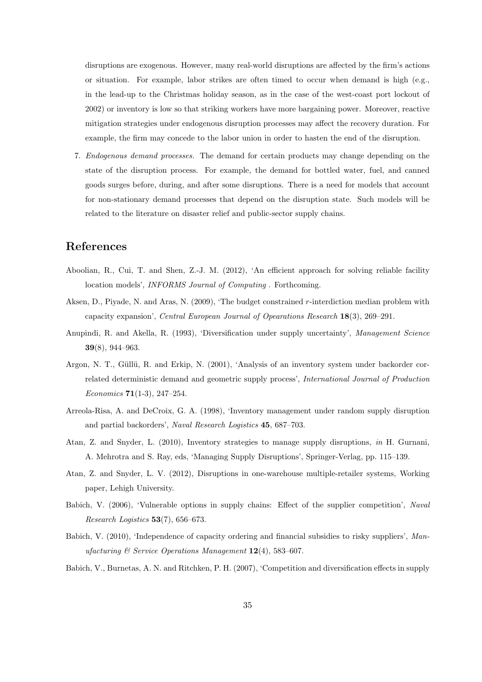disruptions are exogenous. However, many real-world disruptions are affected by the firm's actions or situation. For example, labor strikes are often timed to occur when demand is high (e.g., in the lead-up to the Christmas holiday season, as in the case of the west-coast port lockout of 2002) or inventory is low so that striking workers have more bargaining power. Moreover, reactive mitigation strategies under endogenous disruption processes may affect the recovery duration. For example, the firm may concede to the labor union in order to hasten the end of the disruption.

7. *Endogenous demand processes.* The demand for certain products may change depending on the state of the disruption process. For example, the demand for bottled water, fuel, and canned goods surges before, during, and after some disruptions. There is a need for models that account for non-stationary demand processes that depend on the disruption state. Such models will be related to the literature on disaster relief and public-sector supply chains.

# **References**

- Aboolian, R., Cui, T. and Shen, Z.-J. M. (2012), 'An efficient approach for solving reliable facility location models', *INFORMS Journal of Computing* . Forthcoming.
- Aksen, D., Piyade, N. and Aras, N. (2009), 'The budget constrained *r*-interdiction median problem with capacity expansion', *Central European Journal of Opearations Research* **18**(3), 269–291.
- Anupindi, R. and Akella, R. (1993), 'Diversification under supply uncertainty', *Management Science* **39**(8), 944–963.
- Argon, N. T., Güllü, R. and Erkip, N. (2001), 'Analysis of an inventory system under backorder correlated deterministic demand and geometric supply process', *International Journal of Production Economics* **71**(1-3), 247–254.
- Arreola-Risa, A. and DeCroix, G. A. (1998), 'Inventory management under random supply disruption and partial backorders', *Naval Research Logistics* **45**, 687–703.
- Atan, Z. and Snyder, L. (2010), Inventory strategies to manage supply disruptions, *in* H. Gurnani, A. Mehrotra and S. Ray, eds, 'Managing Supply Disruptions', Springer-Verlag, pp. 115–139.
- Atan, Z. and Snyder, L. V. (2012), Disruptions in one-warehouse multiple-retailer systems, Working paper, Lehigh University.
- Babich, V. (2006), 'Vulnerable options in supply chains: Effect of the supplier competition', *Naval Research Logistics* **53**(7), 656–673.
- Babich, V. (2010), 'Independence of capacity ordering and financial subsidies to risky suppliers', *Manufacturing & Service Operations Management* **12**(4), 583–607.
- Babich, V., Burnetas, A. N. and Ritchken, P. H. (2007), 'Competition and diversification effects in supply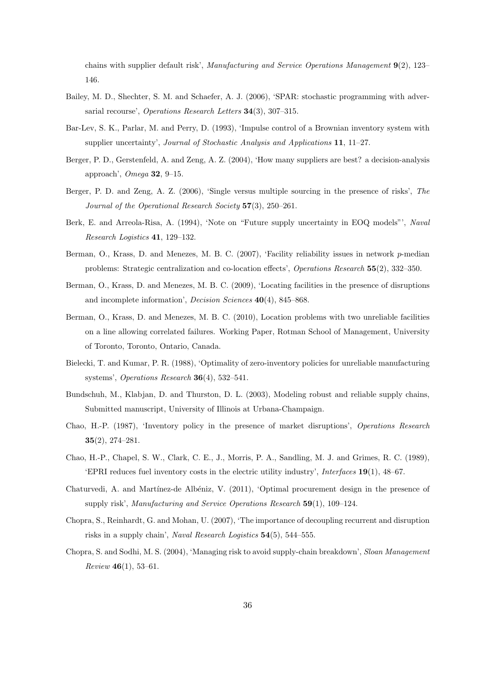chains with supplier default risk', *Manufacturing and Service Operations Management* **9**(2), 123– 146.

- Bailey, M. D., Shechter, S. M. and Schaefer, A. J. (2006), 'SPAR: stochastic programming with adversarial recourse', *Operations Research Letters* **34**(3), 307–315.
- Bar-Lev, S. K., Parlar, M. and Perry, D. (1993), 'Impulse control of a Brownian inventory system with supplier uncertainty', *Journal of Stochastic Analysis and Applications* **11**, 11–27.
- Berger, P. D., Gerstenfeld, A. and Zeng, A. Z. (2004), 'How many suppliers are best? a decision-analysis approach', *Omega* **32**, 9–15.
- Berger, P. D. and Zeng, A. Z. (2006), 'Single versus multiple sourcing in the presence of risks', *The Journal of the Operational Research Society* **57**(3), 250–261.
- Berk, E. and Arreola-Risa, A. (1994), 'Note on "Future supply uncertainty in EOQ models"', *Naval Research Logistics* **41**, 129–132.
- Berman, O., Krass, D. and Menezes, M. B. C. (2007), 'Facility reliability issues in network *p*-median problems: Strategic centralization and co-location effects', *Operations Research* **55**(2), 332–350.
- Berman, O., Krass, D. and Menezes, M. B. C. (2009), 'Locating facilities in the presence of disruptions and incomplete information', *Decision Sciences* **40**(4), 845–868.
- Berman, O., Krass, D. and Menezes, M. B. C. (2010), Location problems with two unreliable facilities on a line allowing correlated failures. Working Paper, Rotman School of Management, University of Toronto, Toronto, Ontario, Canada.
- Bielecki, T. and Kumar, P. R. (1988), 'Optimality of zero-inventory policies for unreliable manufacturing systems', *Operations Research* **36**(4), 532–541.
- Bundschuh, M., Klabjan, D. and Thurston, D. L. (2003), Modeling robust and reliable supply chains, Submitted manuscript, University of Illinois at Urbana-Champaign.
- Chao, H.-P. (1987), 'Inventory policy in the presence of market disruptions', *Operations Research* **35**(2), 274–281.
- Chao, H.-P., Chapel, S. W., Clark, C. E., J., Morris, P. A., Sandling, M. J. and Grimes, R. C. (1989), 'EPRI reduces fuel inventory costs in the electric utility industry', *Interfaces* **19**(1), 48–67.
- Chaturvedi, A. and Martínez-de Albéniz, V. (2011), 'Optimal procurement design in the presence of supply risk', *Manufacturing and Service Operations Research* **59**(1), 109–124.
- Chopra, S., Reinhardt, G. and Mohan, U. (2007), 'The importance of decoupling recurrent and disruption risks in a supply chain', *Naval Research Logistics* **54**(5), 544–555.
- Chopra, S. and Sodhi, M. S. (2004), 'Managing risk to avoid supply-chain breakdown', *Sloan Management Review* **46**(1), 53–61.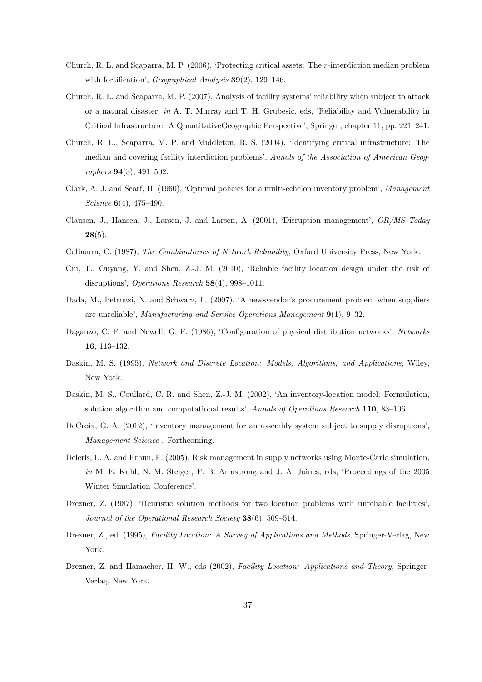- Church, R. L. and Scaparra, M. P. (2006), 'Protecting critical assets: The *r*-interdiction median problem with fortification', *Geographical Analysis* **39**(2), 129–146.
- Church, R. L. and Scaparra, M. P. (2007), Analysis of facility systems' reliability when subject to attack or a natural disaster, *in* A. T. Murray and T. H. Grubesic, eds, 'Reliability and Vulnerability in Critical Infrastructure: A QuantitativeGeographic Perspective', Springer, chapter 11, pp. 221–241.
- Church, R. L., Scaparra, M. P. and Middleton, R. S. (2004), 'Identifying critical infrastructure: The median and covering facility interdiction problems', *Annals of the Association of American Geographers* **94**(3), 491–502.
- Clark, A. J. and Scarf, H. (1960), 'Optimal policies for a multi-echelon inventory problem', *Management Science* **6**(4), 475–490.
- Clausen, J., Hansen, J., Larsen, J. and Larsen, A. (2001), 'Disruption management', *OR/MS Today* **28**(5).
- Colbourn, C. (1987), *The Combinatorics of Network Reliability*, Oxford University Press, New York.
- Cui, T., Ouyang, Y. and Shen, Z.-J. M. (2010), 'Reliable facility location design under the risk of disruptions', *Operations Research* **58**(4), 998–1011.
- Dada, M., Petruzzi, N. and Schwarz, L. (2007), 'A newsvendor's procurement problem when suppliers are unreliable', *Manufacturing and Service Operations Management* **9**(1), 9–32.
- Daganzo, C. F. and Newell, G. F. (1986), 'Configuration of physical distribution networks', *Networks* **16**, 113–132.
- Daskin, M. S. (1995), *Network and Discrete Location: Models, Algorithms, and Applications*, Wiley, New York.
- Daskin, M. S., Coullard, C. R. and Shen, Z.-J. M. (2002), 'An inventory-location model: Formulation, solution algorithm and computational results', *Annals of Operations Research* **110**, 83–106.
- DeCroix, G. A. (2012), 'Inventory management for an assembly system subject to supply disruptions', *Management Science* . Forthcoming.
- Deleris, L. A. and Erhun, F. (2005), Risk management in supply networks using Monte-Carlo simulation, *in* M. E. Kuhl, N. M. Steiger, F. B. Armstrong and J. A. Joines, eds, 'Proceedings of the 2005 Winter Simulation Conference'.
- Drezner, Z. (1987), 'Heuristic solution methods for two location problems with unreliable facilities', *Journal of the Operational Research Society* **38**(6), 509–514.
- Drezner, Z., ed. (1995), *Facility Location: A Survey of Applications and Methods*, Springer-Verlag, New York.
- Drezner, Z. and Hamacher, H. W., eds (2002), *Facility Location: Applications and Theory*, Springer-Verlag, New York.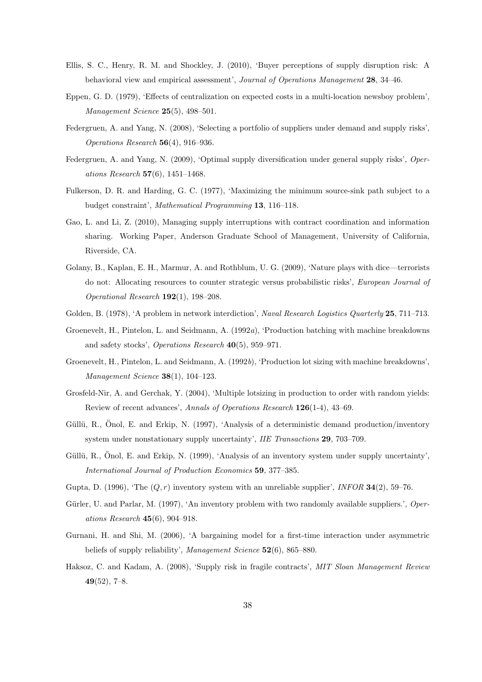- Ellis, S. C., Henry, R. M. and Shockley, J. (2010), 'Buyer perceptions of supply disruption risk: A behavioral view and empirical assessment', *Journal of Operations Management* **28**, 34–46.
- Eppen, G. D. (1979), 'Effects of centralization on expected costs in a multi-location newsboy problem', *Management Science* **25**(5), 498–501.
- Federgruen, A. and Yang, N. (2008), 'Selecting a portfolio of suppliers under demand and supply risks', *Operations Research* **56**(4), 916–936.
- Federgruen, A. and Yang, N. (2009), 'Optimal supply diversification under general supply risks', *Operations Research* **57**(6), 1451–1468.
- Fulkerson, D. R. and Harding, G. C. (1977), 'Maximizing the minimum source-sink path subject to a budget constraint', *Mathematical Programming* **13**, 116–118.
- Gao, L. and Li, Z. (2010), Managing supply interruptions with contract coordination and information sharing. Working Paper, Anderson Graduate School of Management, University of California, Riverside, CA.
- Golany, B., Kaplan, E. H., Marmur, A. and Rothblum, U. G. (2009), 'Nature plays with dice—terrorists do not: Allocating resources to counter strategic versus probabilistic risks', *European Journal of Operational Research* **192**(1), 198–208.
- Golden, B. (1978), 'A problem in network interdiction', *Naval Research Logistics Quarterly* **25**, 711–713.
- Groenevelt, H., Pintelon, L. and Seidmann, A. (1992*a*), 'Production batching with machine breakdowns and safety stocks', *Operations Research* **40**(5), 959–971.
- Groenevelt, H., Pintelon, L. and Seidmann, A. (1992*b*), 'Production lot sizing with machine breakdowns', *Management Science* **38**(1), 104–123.
- Grosfeld-Nir, A. and Gerchak, Y. (2004), 'Multiple lotsizing in production to order with random yields: Review of recent advances', *Annals of Operations Research* **126**(1-4), 43–69.
- Güllü, R., Önol, E. and Erkip, N. (1997), 'Analysis of a deterministic demand production/inventory system under nonstationary supply uncertainty', *IIE Transactions* **29**, 703–709.
- Güllü, R., Önol, E. and Erkip, N. (1999), 'Analysis of an inventory system under supply uncertainty', *International Journal of Production Economics* **59**, 377–385.
- Gupta, D. (1996), 'The (*Q, r*) inventory system with an unreliable supplier', *INFOR* **34**(2), 59–76.
- Gürler, U. and Parlar, M. (1997), 'An inventory problem with two randomly available suppliers.', *Operations Research* **45**(6), 904–918.
- Gurnani, H. and Shi, M. (2006), 'A bargaining model for a first-time interaction under asymmetric beliefs of supply reliability', *Management Science* **52**(6), 865–880.
- Haksoz, C. and Kadam, A. (2008), 'Supply risk in fragile contracts', *MIT Sloan Management Review* **49**(52), 7–8.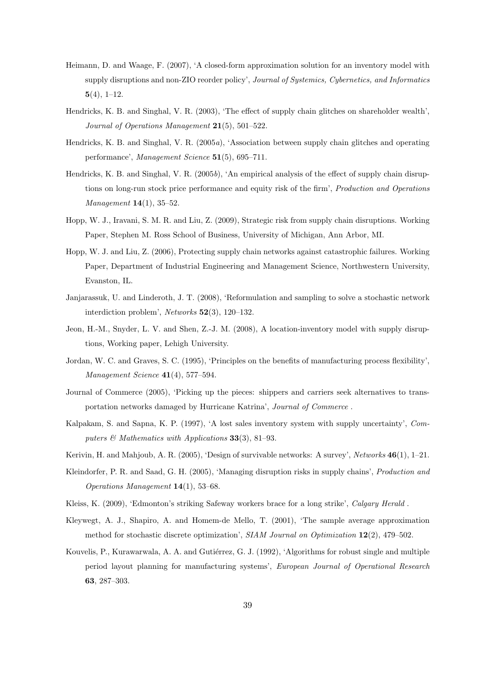- Heimann, D. and Waage, F. (2007), 'A closed-form approximation solution for an inventory model with supply disruptions and non-ZIO reorder policy', *Journal of Systemics, Cybernetics, and Informatics* **5**(4), 1–12.
- Hendricks, K. B. and Singhal, V. R. (2003), 'The effect of supply chain glitches on shareholder wealth', *Journal of Operations Management* **21**(5), 501–522.
- Hendricks, K. B. and Singhal, V. R. (2005*a*), 'Association between supply chain glitches and operating performance', *Management Science* **51**(5), 695–711.
- Hendricks, K. B. and Singhal, V. R. (2005*b*), 'An empirical analysis of the effect of supply chain disruptions on long-run stock price performance and equity risk of the firm', *Production and Operations Management* **14**(1), 35–52.
- Hopp, W. J., Iravani, S. M. R. and Liu, Z. (2009), Strategic risk from supply chain disruptions. Working Paper, Stephen M. Ross School of Business, University of Michigan, Ann Arbor, MI.
- Hopp, W. J. and Liu, Z. (2006), Protecting supply chain networks against catastrophic failures. Working Paper, Department of Industrial Engineering and Management Science, Northwestern University, Evanston, IL.
- Janjarassuk, U. and Linderoth, J. T. (2008), 'Reformulation and sampling to solve a stochastic network interdiction problem', *Networks* **52**(3), 120–132.
- Jeon, H.-M., Snyder, L. V. and Shen, Z.-J. M. (2008), A location-inventory model with supply disruptions, Working paper, Lehigh University.
- Jordan, W. C. and Graves, S. C. (1995), 'Principles on the benefits of manufacturing process flexibility', *Management Science* **41**(4), 577–594.
- Journal of Commerce (2005), 'Picking up the pieces: shippers and carriers seek alternatives to transportation networks damaged by Hurricane Katrina', *Journal of Commerce* .
- Kalpakam, S. and Sapna, K. P. (1997), 'A lost sales inventory system with supply uncertainty', *Computers & Mathematics with Applications* **33**(3), 81–93.
- Kerivin, H. and Mahjoub, A. R. (2005), 'Design of survivable networks: A survey', *Networks* **46**(1), 1–21.
- Kleindorfer, P. R. and Saad, G. H. (2005), 'Managing disruption risks in supply chains', *Production and Operations Management* **14**(1), 53–68.
- Kleiss, K. (2009), 'Edmonton's striking Safeway workers brace for a long strike', *Calgary Herald* .
- Kleywegt, A. J., Shapiro, A. and Homem-de Mello, T. (2001), 'The sample average approximation method for stochastic discrete optimization', *SIAM Journal on Optimization* **12**(2), 479–502.
- Kouvelis, P., Kurawarwala, A. A. and Gutiérrez, G. J. (1992), 'Algorithms for robust single and multiple period layout planning for manufacturing systems', *European Journal of Operational Research* **63**, 287–303.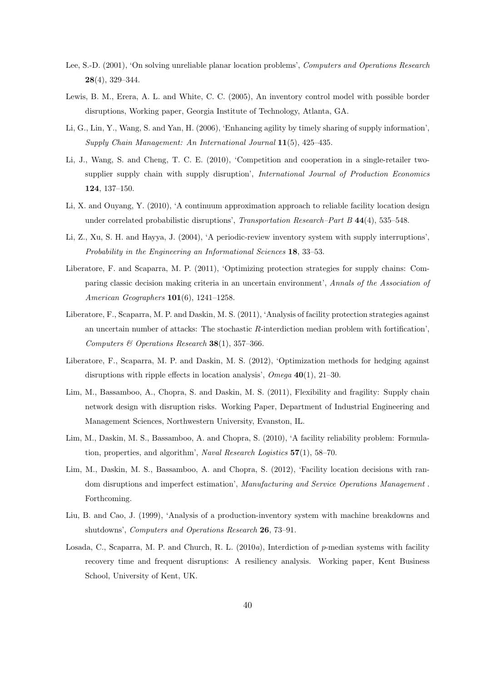- Lee, S.-D. (2001), 'On solving unreliable planar location problems', *Computers and Operations Research* **28**(4), 329–344.
- Lewis, B. M., Erera, A. L. and White, C. C. (2005), An inventory control model with possible border disruptions, Working paper, Georgia Institute of Technology, Atlanta, GA.
- Li, G., Lin, Y., Wang, S. and Yan, H. (2006), 'Enhancing agility by timely sharing of supply information', *Supply Chain Management: An International Journal* **11**(5), 425–435.
- Li, J., Wang, S. and Cheng, T. C. E. (2010), 'Competition and cooperation in a single-retailer twosupplier supply chain with supply disruption', *International Journal of Production Economics* **124**, 137–150.
- Li, X. and Ouyang, Y. (2010), 'A continuum approximation approach to reliable facility location design under correlated probabilistic disruptions', *Transportation Research–Part B* **44**(4), 535–548.
- Li, Z., Xu, S. H. and Hayya, J. (2004), 'A periodic-review inventory system with supply interruptions', *Probability in the Engineering an Informational Sciences* **18**, 33–53.
- Liberatore, F. and Scaparra, M. P. (2011), 'Optimizing protection strategies for supply chains: Comparing classic decision making criteria in an uncertain environment', *Annals of the Association of American Geographers* **101**(6), 1241–1258.
- Liberatore, F., Scaparra, M. P. and Daskin, M. S. (2011), 'Analysis of facility protection strategies against an uncertain number of attacks: The stochastic *R*-interdiction median problem with fortification', *Computers & Operations Research* **38**(1), 357–366.
- Liberatore, F., Scaparra, M. P. and Daskin, M. S. (2012), 'Optimization methods for hedging against disruptions with ripple effects in location analysis', *Omega* **40**(1), 21–30.
- Lim, M., Bassamboo, A., Chopra, S. and Daskin, M. S. (2011), Flexibility and fragility: Supply chain network design with disruption risks. Working Paper, Department of Industrial Engineering and Management Sciences, Northwestern University, Evanston, IL.
- Lim, M., Daskin, M. S., Bassamboo, A. and Chopra, S. (2010), 'A facility reliability problem: Formulation, properties, and algorithm', *Naval Research Logistics* **57**(1), 58–70.
- Lim, M., Daskin, M. S., Bassamboo, A. and Chopra, S. (2012), 'Facility location decisions with random disruptions and imperfect estimation', *Manufacturing and Service Operations Management* . Forthcoming.
- Liu, B. and Cao, J. (1999), 'Analysis of a production-inventory system with machine breakdowns and shutdowns', *Computers and Operations Research* **26**, 73–91.
- Losada, C., Scaparra, M. P. and Church, R. L. (2010*a*), Interdiction of *p*-median systems with facility recovery time and frequent disruptions: A resiliency analysis. Working paper, Kent Business School, University of Kent, UK.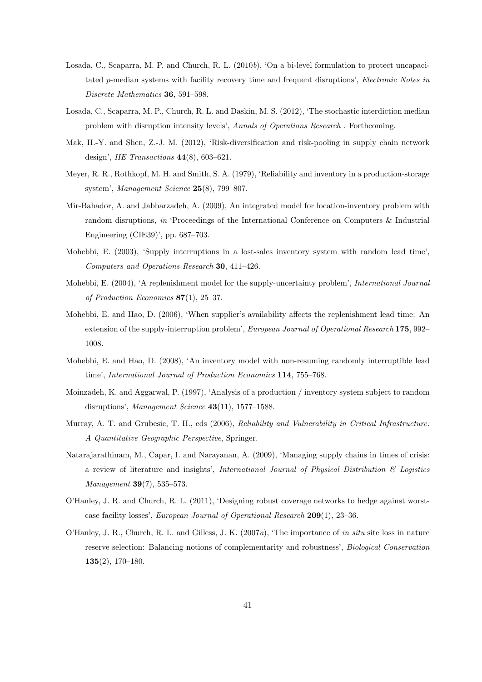- Losada, C., Scaparra, M. P. and Church, R. L. (2010*b*), 'On a bi-level formulation to protect uncapacitated *p*-median systems with facility recovery time and frequent disruptions', *Electronic Notes in Discrete Mathematics* **36**, 591–598.
- Losada, C., Scaparra, M. P., Church, R. L. and Daskin, M. S. (2012), 'The stochastic interdiction median problem with disruption intensity levels', *Annals of Operations Research* . Forthcoming.
- Mak, H.-Y. and Shen, Z.-J. M. (2012), 'Risk-diversification and risk-pooling in supply chain network design', *IIE Transactions* **44**(8), 603–621.
- Meyer, R. R., Rothkopf, M. H. and Smith, S. A. (1979), 'Reliability and inventory in a production-storage system', *Management Science* **25**(8), 799–807.
- Mir-Bahador, A. and Jabbarzadeh, A. (2009), An integrated model for location-inventory problem with random disruptions, *in* 'Proceedings of the International Conference on Computers & Industrial Engineering (CIE39)', pp. 687–703.
- Mohebbi, E. (2003), 'Supply interruptions in a lost-sales inventory system with random lead time', *Computers and Operations Research* **30**, 411–426.
- Mohebbi, E. (2004), 'A replenishment model for the supply-uncertainty problem', *International Journal of Production Economics* **87**(1), 25–37.
- Mohebbi, E. and Hao, D. (2006), 'When supplier's availability affects the replenishment lead time: An extension of the supply-interruption problem', *European Journal of Operational Research* **175**, 992– 1008.
- Mohebbi, E. and Hao, D. (2008), 'An inventory model with non-resuming randomly interruptible lead time', *International Journal of Production Economics* **114**, 755–768.
- Moinzadeh, K. and Aggarwal, P. (1997), 'Analysis of a production / inventory system subject to random disruptions', *Management Science* **43**(11), 1577–1588.
- Murray, A. T. and Grubesic, T. H., eds (2006), *Reliability and Vulnerability in Critical Infrastructure: A Quantitative Geographic Perspective*, Springer.
- Natarajarathinam, M., Capar, I. and Narayanan, A. (2009), 'Managing supply chains in times of crisis: a review of literature and insights', *International Journal of Physical Distribution & Logistics Management* **39**(7), 535–573.
- O'Hanley, J. R. and Church, R. L. (2011), 'Designing robust coverage networks to hedge against worstcase facility losses', *European Journal of Operational Research* **209**(1), 23–36.
- O'Hanley, J. R., Church, R. L. and Gilless, J. K. (2007*a*), 'The importance of *in situ* site loss in nature reserve selection: Balancing notions of complementarity and robustness', *Biological Conservation* **135**(2), 170–180.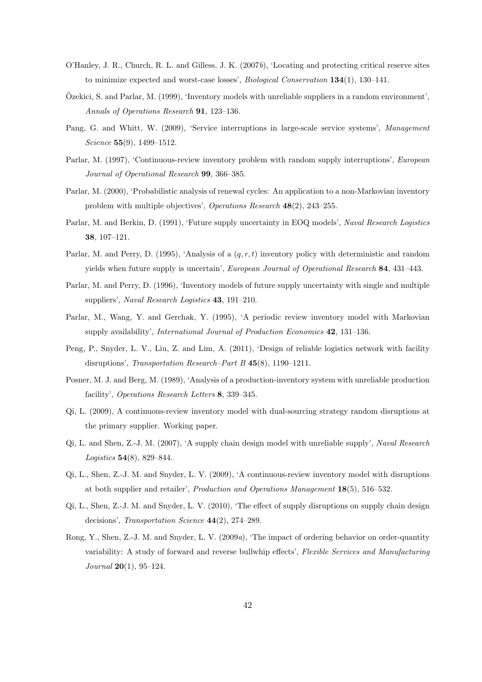- O'Hanley, J. R., Church, R. L. and Gilless, J. K. (2007*b*), 'Locating and protecting critical reserve sites to minimize expected and worst-case losses', *Biological Conservation* **134**(1), 130–141.
- Özekici, S. and Parlar, M. (1999), 'Inventory models with unreliable suppliers in a random environment', *Annals of Operations Research* **91**, 123–136.
- Pang, G. and Whitt, W. (2009), 'Service interruptions in large-scale service systems', *Management Science* **55**(9), 1499–1512.
- Parlar, M. (1997), 'Continuous-review inventory problem with random supply interruptions', *European Journal of Operational Research* **99**, 366–385.
- Parlar, M. (2000), 'Probabilistic analysis of renewal cycles: An application to a non-Markovian inventory problem with multiple objectives', *Operations Research* **48**(2), 243–255.
- Parlar, M. and Berkin, D. (1991), 'Future supply uncertainty in EOQ models', *Naval Research Logistics* **38**, 107–121.
- Parlar, M. and Perry, D. (1995), 'Analysis of a (*q, r, t*) inventory policy with deterministic and random yields when future supply is uncertain', *European Journal of Operational Research* **84**, 431–443.
- Parlar, M. and Perry, D. (1996), 'Inventory models of future supply uncertainty with single and multiple suppliers', *Naval Research Logistics* **43**, 191–210.
- Parlar, M., Wang, Y. and Gerchak, Y. (1995), 'A periodic review inventory model with Markovian supply availability', *International Journal of Production Economics* **42**, 131–136.
- Peng, P., Snyder, L. V., Liu, Z. and Lim, A. (2011), 'Design of reliable logistics network with facility disruptions', *Transportation Research–Part B* **45**(8), 1190–1211.
- Posner, M. J. and Berg, M. (1989), 'Analysis of a production-inventory system with unreliable production facility', *Operations Research Letters* **8**, 339–345.
- Qi, L. (2009), A continuous-review inventory model with dual-sourcing strategy random disruptions at the primary supplier. Working paper.
- Qi, L. and Shen, Z.-J. M. (2007), 'A supply chain design model with unreliable supply', *Naval Research Logistics* **54**(8), 829–844.
- Qi, L., Shen, Z.-J. M. and Snyder, L. V. (2009), 'A continuous-review inventory model with disruptions at both supplier and retailer', *Production and Operations Management* **18**(5), 516–532.
- Qi, L., Shen, Z.-J. M. and Snyder, L. V. (2010), 'The effect of supply disruptions on supply chain design decisions', *Transportation Science* **44**(2), 274–289.
- Rong, Y., Shen, Z.-J. M. and Snyder, L. V. (2009*a*), 'The impact of ordering behavior on order-quantity variability: A study of forward and reverse bullwhip effects', *Flexible Services and Manufacturing Journal* **20**(1), 95–124.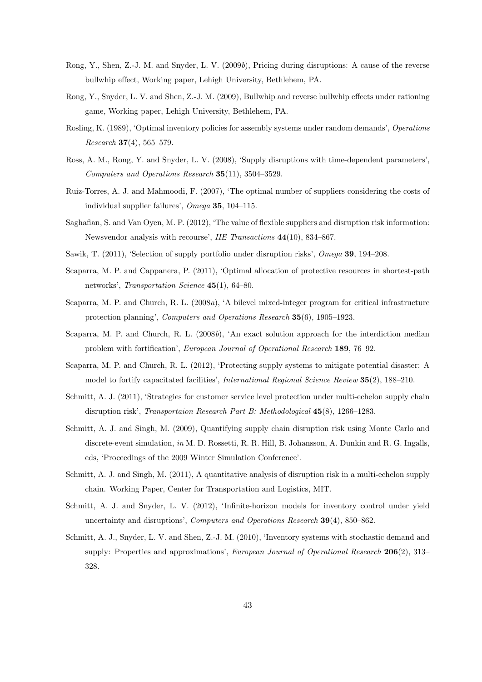- Rong, Y., Shen, Z.-J. M. and Snyder, L. V. (2009*b*), Pricing during disruptions: A cause of the reverse bullwhip effect, Working paper, Lehigh University, Bethlehem, PA.
- Rong, Y., Snyder, L. V. and Shen, Z.-J. M. (2009), Bullwhip and reverse bullwhip effects under rationing game, Working paper, Lehigh University, Bethlehem, PA.
- Rosling, K. (1989), 'Optimal inventory policies for assembly systems under random demands', *Operations Research* **37**(4), 565–579.
- Ross, A. M., Rong, Y. and Snyder, L. V. (2008), 'Supply disruptions with time-dependent parameters', *Computers and Operations Research* **35**(11), 3504–3529.
- Ruiz-Torres, A. J. and Mahmoodi, F. (2007), 'The optimal number of suppliers considering the costs of individual supplier failures', *Omega* **35**, 104–115.
- Saghafian, S. and Van Oyen, M. P. (2012), 'The value of flexible suppliers and disruption risk information: Newsvendor analysis with recourse', *IIE Transactions* **44**(10), 834–867.
- Sawik, T. (2011), 'Selection of supply portfolio under disruption risks', *Omega* **39**, 194–208.
- Scaparra, M. P. and Cappanera, P. (2011), 'Optimal allocation of protective resources in shortest-path networks', *Transportation Science* **45**(1), 64–80.
- Scaparra, M. P. and Church, R. L. (2008*a*), 'A bilevel mixed-integer program for critical infrastructure protection planning', *Computers and Operations Research* **35**(6), 1905–1923.
- Scaparra, M. P. and Church, R. L. (2008*b*), 'An exact solution approach for the interdiction median problem with fortification', *European Journal of Operational Research* **189**, 76–92.
- Scaparra, M. P. and Church, R. L. (2012), 'Protecting supply systems to mitigate potential disaster: A model to fortify capacitated facilities', *International Regional Science Review* **35**(2), 188–210.
- Schmitt, A. J. (2011), 'Strategies for customer service level protection under multi-echelon supply chain disruption risk', *Transportaion Research Part B: Methodological* **45**(8), 1266–1283.
- Schmitt, A. J. and Singh, M. (2009), Quantifying supply chain disruption risk using Monte Carlo and discrete-event simulation, *in* M. D. Rossetti, R. R. Hill, B. Johansson, A. Dunkin and R. G. Ingalls, eds, 'Proceedings of the 2009 Winter Simulation Conference'.
- Schmitt, A. J. and Singh, M. (2011), A quantitative analysis of disruption risk in a multi-echelon supply chain. Working Paper, Center for Transportation and Logistics, MIT.
- Schmitt, A. J. and Snyder, L. V. (2012), 'Infinite-horizon models for inventory control under yield uncertainty and disruptions', *Computers and Operations Research* **39**(4), 850–862.
- Schmitt, A. J., Snyder, L. V. and Shen, Z.-J. M. (2010), 'Inventory systems with stochastic demand and supply: Properties and approximations', *European Journal of Operational Research* **206**(2), 313– 328.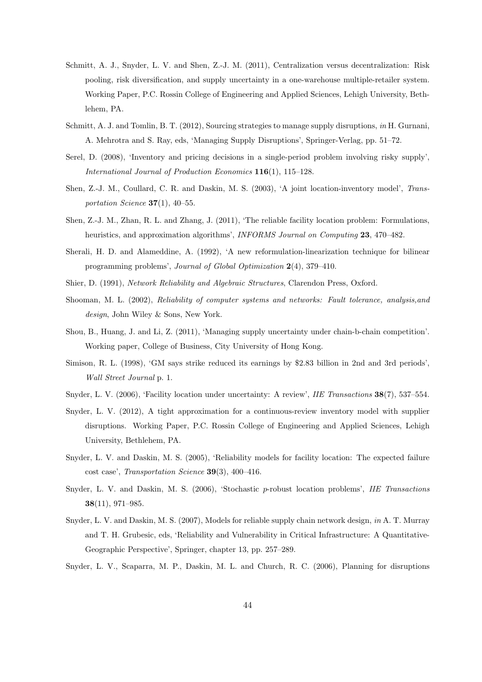- Schmitt, A. J., Snyder, L. V. and Shen, Z.-J. M. (2011), Centralization versus decentralization: Risk pooling, risk diversification, and supply uncertainty in a one-warehouse multiple-retailer system. Working Paper, P.C. Rossin College of Engineering and Applied Sciences, Lehigh University, Bethlehem, PA.
- Schmitt, A. J. and Tomlin, B. T. (2012), Sourcing strategies to manage supply disruptions, *in* H. Gurnani, A. Mehrotra and S. Ray, eds, 'Managing Supply Disruptions', Springer-Verlag, pp. 51–72.
- Serel, D. (2008), 'Inventory and pricing decisions in a single-period problem involving risky supply', *International Journal of Production Economics* **116**(1), 115–128.
- Shen, Z.-J. M., Coullard, C. R. and Daskin, M. S. (2003), 'A joint location-inventory model', *Transportation Science* **37**(1), 40–55.
- Shen, Z.-J. M., Zhan, R. L. and Zhang, J. (2011), 'The reliable facility location problem: Formulations, heuristics, and approximation algorithms', *INFORMS Journal on Computing* **23**, 470–482.
- Sherali, H. D. and Alameddine, A. (1992), 'A new reformulation-linearization technique for bilinear programming problems', *Journal of Global Optimization* **2**(4), 379–410.
- Shier, D. (1991), *Network Reliability and Algebraic Structures*, Clarendon Press, Oxford.
- Shooman, M. L. (2002), *Reliability of computer systems and networks: Fault tolerance, analysis,and design*, John Wiley & Sons, New York.
- Shou, B., Huang, J. and Li, Z. (2011), 'Managing supply uncertainty under chain-b-chain competition'. Working paper, College of Business, City University of Hong Kong.
- Simison, R. L. (1998), 'GM says strike reduced its earnings by \$2.83 billion in 2nd and 3rd periods', *Wall Street Journal* p. 1.
- Snyder, L. V. (2006), 'Facility location under uncertainty: A review', *IIE Transactions* **38**(7), 537–554.
- Snyder, L. V. (2012), A tight approximation for a continuous-review inventory model with supplier disruptions. Working Paper, P.C. Rossin College of Engineering and Applied Sciences, Lehigh University, Bethlehem, PA.
- Snyder, L. V. and Daskin, M. S. (2005), 'Reliability models for facility location: The expected failure cost case', *Transportation Science* **39**(3), 400–416.
- Snyder, L. V. and Daskin, M. S. (2006), 'Stochastic *p*-robust location problems', *IIE Transactions* **38**(11), 971–985.
- Snyder, L. V. and Daskin, M. S. (2007), Models for reliable supply chain network design, *in* A. T. Murray and T. H. Grubesic, eds, 'Reliability and Vulnerability in Critical Infrastructure: A Quantitative-Geographic Perspective', Springer, chapter 13, pp. 257–289.
- Snyder, L. V., Scaparra, M. P., Daskin, M. L. and Church, R. C. (2006), Planning for disruptions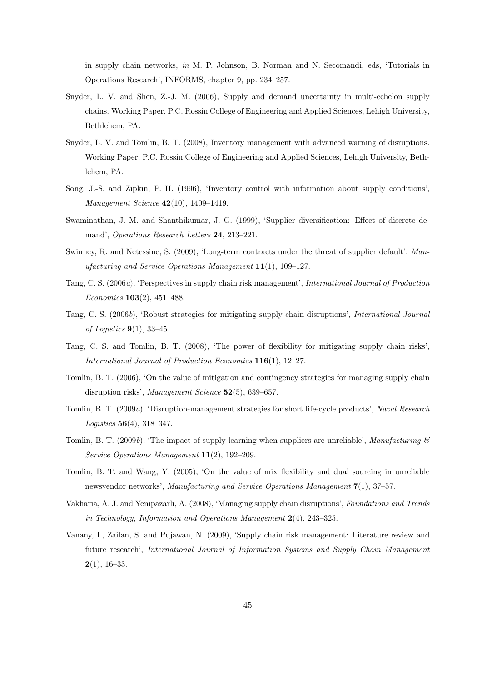in supply chain networks, *in* M. P. Johnson, B. Norman and N. Secomandi, eds, 'Tutorials in Operations Research', INFORMS, chapter 9, pp. 234–257.

- Snyder, L. V. and Shen, Z.-J. M. (2006), Supply and demand uncertainty in multi-echelon supply chains. Working Paper, P.C. Rossin College of Engineering and Applied Sciences, Lehigh University, Bethlehem, PA.
- Snyder, L. V. and Tomlin, B. T. (2008), Inventory management with advanced warning of disruptions. Working Paper, P.C. Rossin College of Engineering and Applied Sciences, Lehigh University, Bethlehem, PA.
- Song, J.-S. and Zipkin, P. H. (1996), 'Inventory control with information about supply conditions', *Management Science* **42**(10), 1409–1419.
- Swaminathan, J. M. and Shanthikumar, J. G. (1999), 'Supplier diversification: Effect of discrete demand', *Operations Research Letters* **24**, 213–221.
- Swinney, R. and Netessine, S. (2009), 'Long-term contracts under the threat of supplier default', *Manufacturing and Service Operations Management* **11**(1), 109–127.
- Tang, C. S. (2006*a*), 'Perspectives in supply chain risk management', *International Journal of Production Economics* **103**(2), 451–488.
- Tang, C. S. (2006*b*), 'Robust strategies for mitigating supply chain disruptions', *International Journal of Logistics* **9**(1), 33–45.
- Tang, C. S. and Tomlin, B. T. (2008), 'The power of flexibility for mitigating supply chain risks', *International Journal of Production Economics* **116**(1), 12–27.
- Tomlin, B. T. (2006), 'On the value of mitigation and contingency strategies for managing supply chain disruption risks', *Management Science* **52**(5), 639–657.
- Tomlin, B. T. (2009*a*), 'Disruption-management strategies for short life-cycle products', *Naval Research Logistics* **56**(4), 318–347.
- Tomlin, B. T. (2009*b*), 'The impact of supply learning when suppliers are unreliable', *Manufacturing & Service Operations Management* **11**(2), 192–209.
- Tomlin, B. T. and Wang, Y. (2005), 'On the value of mix flexibility and dual sourcing in unreliable newsvendor networks', *Manufacturing and Service Operations Management* **7**(1), 37–57.
- Vakharia, A. J. and Yenipazarli, A. (2008), 'Managing supply chain disruptions', *Foundations and Trends in Technology, Information and Operations Management* **2**(4), 243–325.
- Vanany, I., Zailan, S. and Pujawan, N. (2009), 'Supply chain risk management: Literature review and future research', *International Journal of Information Systems and Supply Chain Management* **2**(1), 16–33.